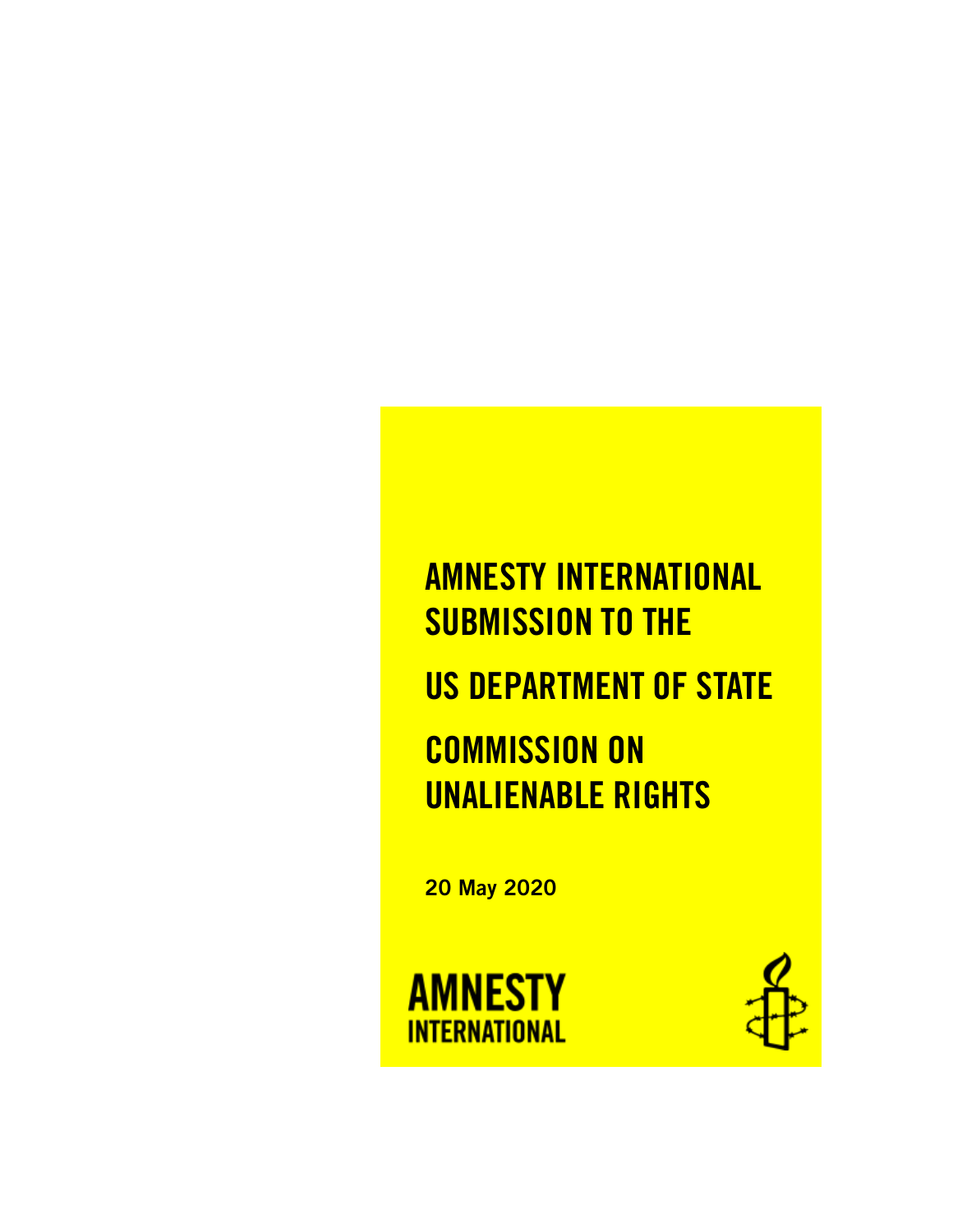# AMNESTY INTERNATIONAL SUBMISSION TO THE US DEPARTMENT OF STATE COMMISSION ON UNALIENABLE RIGHTS

20 May 2020



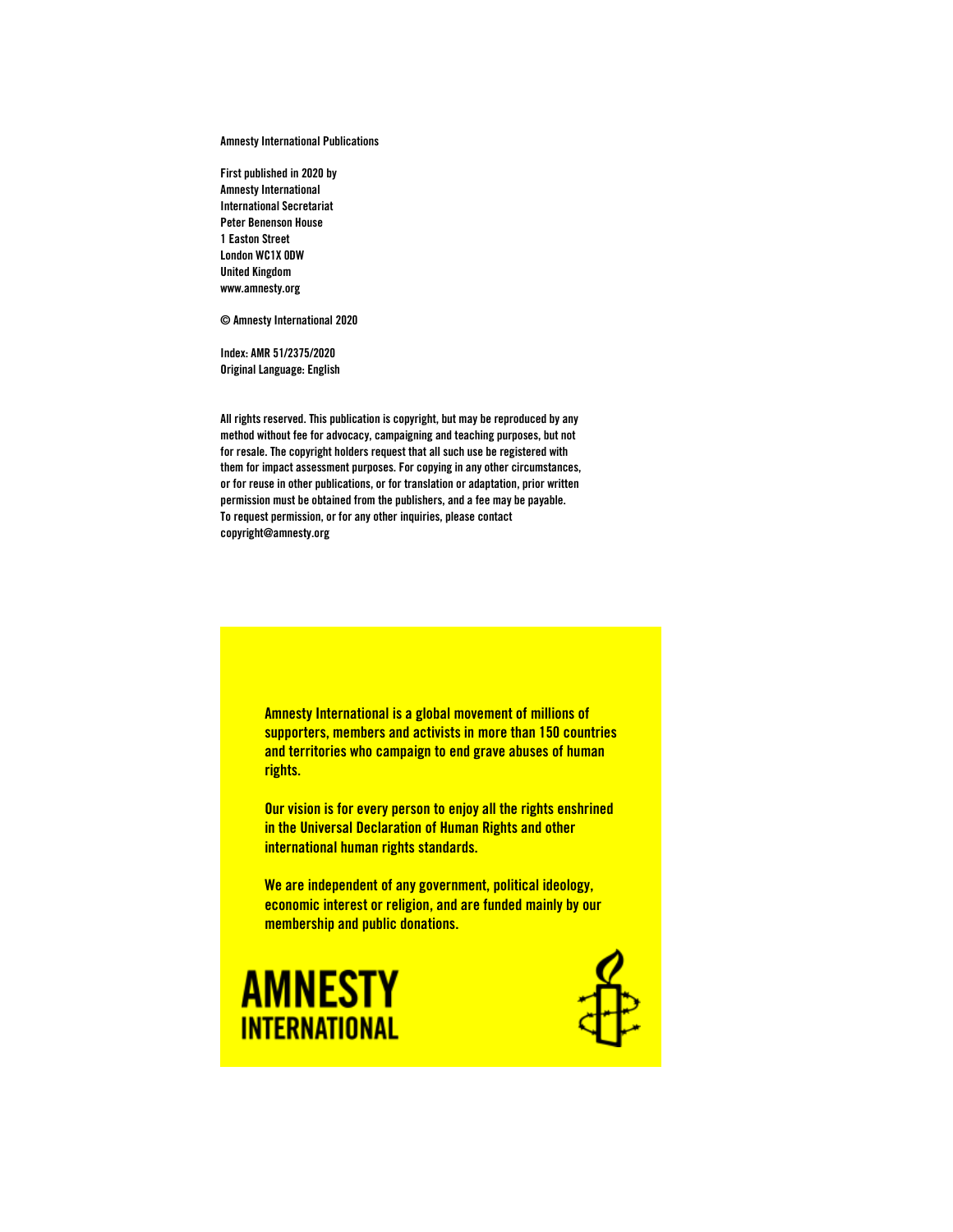Amnesty International Publications

First published in 2020 by Amnesty International International Secretariat Peter Benenson House 1 Easton Street London WC1X 0DW United Kingdom www.amnesty.org

© Amnesty International 2020

Index: AMR 51/2375/2020 Original Language: English

All rights reserved. This publication is copyright, but may be reproduced by any method without fee for advocacy, campaigning and teaching purposes, but not for resale. The copyright holders request that all such use be registered with them for impact assessment purposes. For copying in any other circumstances, or for reuse in other publications, or for translation or adaptation, prior written permission must be obtained from the publishers, and a fee may be payable. To request permission, or for any other inquiries, please contact copyright@amnesty.org



Our vision is for every person to enjoy all the rights enshrined in the Universal Declaration of Human Rights and other international human rights standards.

We are independent of any government, political ideology, economic interest or religion, and are funded mainly by our membership and public donations.



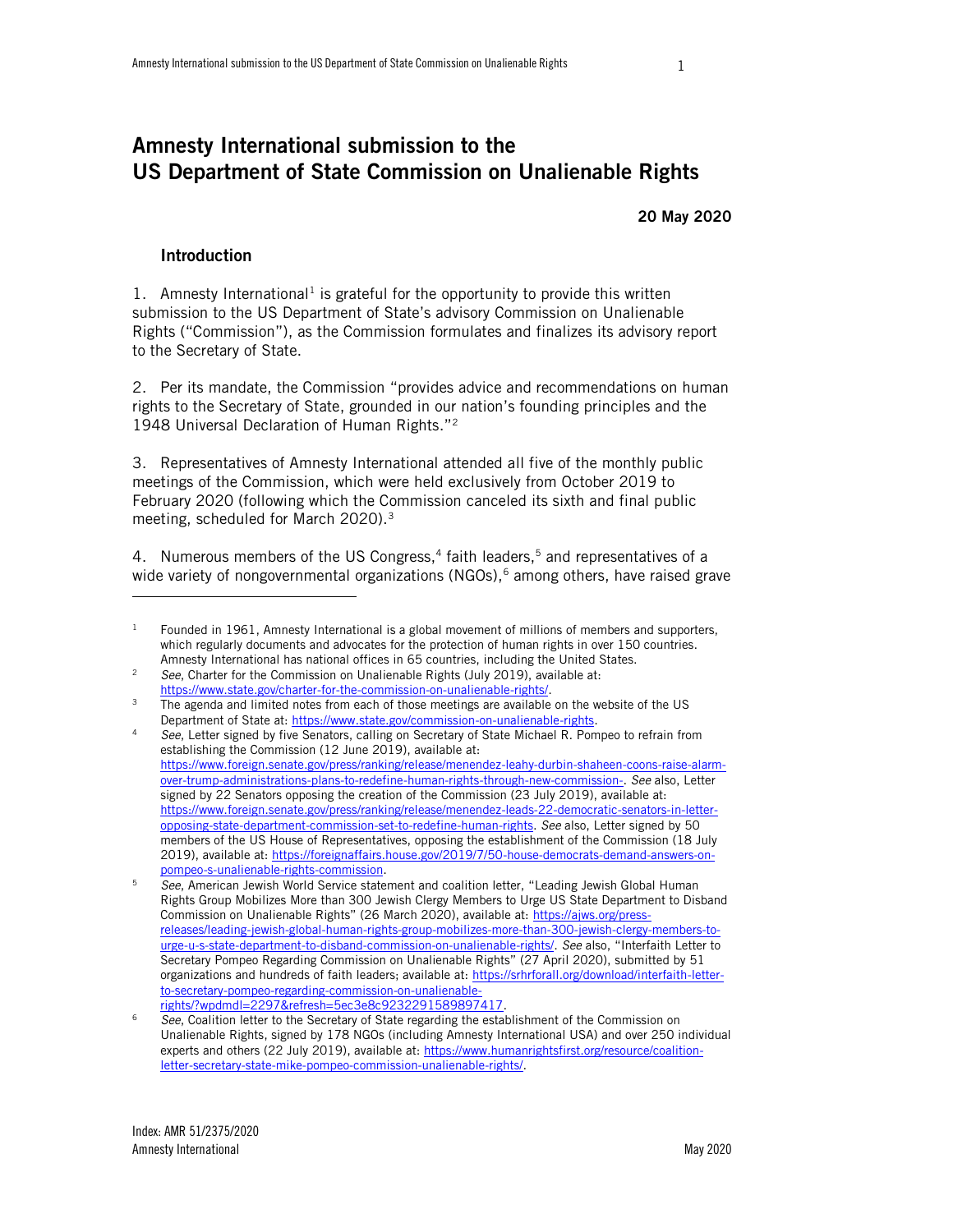# Amnesty International submission to the US Department of State Commission on Unalienable Rights

20 May 2020

#### Introduction

j

1. Amnesty International<sup>1</sup> is grateful for the opportunity to provide this written submission to the US Department of State's advisory Commission on Unalienable Rights ("Commission"), as the Commission formulates and finalizes its advisory report to the Secretary of State.

2. Per its mandate, the Commission "provides advice and recommendations on human rights to the Secretary of State, grounded in our nation's founding principles and the 1948 Universal Declaration of Human Rights."<sup>2</sup>

3. Representatives of Amnesty International attended all five of the monthly public meetings of the Commission, which were held exclusively from October 2019 to February 2020 (following which the Commission canceled its sixth and final public meeting, scheduled for March 2020).<sup>3</sup>

4. Numerous members of the US Congress,<sup>4</sup> faith leaders,<sup>5</sup> and representatives of a wide variety of nongovernmental organizations  $(NGOS),$ <sup>6</sup> among others, have raised grave

 $1$  Founded in 1961, Amnesty International is a global movement of millions of members and supporters, which regularly documents and advocates for the protection of human rights in over 150 countries. Amnesty International has national offices in 65 countries, including the United States.

<sup>2</sup> *See*, Charter for the Commission on Unalienable Rights (July 2019), available at: [https://www.state.gov/charter-for-the-commission-on-unalienable-rights/.](https://www.state.gov/charter-for-the-commission-on-unalienable-rights/)

<sup>&</sup>lt;sup>3</sup> The agenda and limited notes from each of those meetings are available on the website of the US Department of State at[: https://www.state.gov/commission-on-unalienable-rights.](https://www.state.gov/commission-on-unalienable-rights)

<sup>4</sup> *See*, Letter signed by five Senators, calling on Secretary of State Michael R. Pompeo to refrain from establishing the Commission (12 June 2019), available at: [https://www.foreign.senate.gov/press/ranking/release/menendez-leahy-durbin-shaheen-coons-raise-alarm](https://www.foreign.senate.gov/press/ranking/release/menendez-leahy-durbin-shaheen-coons-raise-alarm-over-trump-administrations-plans-to-redefine-human-rights-through-new-commission-)[over-trump-administrations-plans-to-redefine-human-rights-through-new-commission-.](https://www.foreign.senate.gov/press/ranking/release/menendez-leahy-durbin-shaheen-coons-raise-alarm-over-trump-administrations-plans-to-redefine-human-rights-through-new-commission-) *See* also, Letter signed by 22 Senators opposing the creation of the Commission (23 July 2019), available at: [https://www.foreign.senate.gov/press/ranking/release/menendez-leads-22-democratic-senators-in-letter](https://www.foreign.senate.gov/press/ranking/release/menendez-leads-22-democratic-senators-in-letter-opposing-state-department-commission-set-to-redefine-human-rights)[opposing-state-department-commission-set-to-redefine-human-rights.](https://www.foreign.senate.gov/press/ranking/release/menendez-leads-22-democratic-senators-in-letter-opposing-state-department-commission-set-to-redefine-human-rights) *See* also, Letter signed by 50 members of the US House of Representatives, opposing the establishment of the Commission (18 July 2019), available at: [https://foreignaffairs.house.gov/2019/7/50-house-democrats-demand-answers-on](https://foreignaffairs.house.gov/2019/7/50-house-democrats-demand-answers-on-pompeo-s-unalienable-rights-commission)[pompeo-s-unalienable-rights-commission.](https://foreignaffairs.house.gov/2019/7/50-house-democrats-demand-answers-on-pompeo-s-unalienable-rights-commission)

<sup>5</sup> *See*, American Jewish World Service statement and coalition letter, "Leading Jewish Global Human Rights Group Mobilizes More than 300 Jewish Clergy Members to Urge US State Department to Disband Commission on Unalienable Rights" (26 March 2020), available at: [https://ajws.org/press](https://ajws.org/press-releases/leading-jewish-global-human-rights-group-mobilizes-more-than-300-jewish-clergy-members-to-urge-u-s-state-department-to-disband-commission-on-unalienable-rights/)[releases/leading-jewish-global-human-rights-group-mobilizes-more-than-300-jewish-clergy-members-to](https://ajws.org/press-releases/leading-jewish-global-human-rights-group-mobilizes-more-than-300-jewish-clergy-members-to-urge-u-s-state-department-to-disband-commission-on-unalienable-rights/)[urge-u-s-state-department-to-disband-commission-on-unalienable-rights/.](https://ajws.org/press-releases/leading-jewish-global-human-rights-group-mobilizes-more-than-300-jewish-clergy-members-to-urge-u-s-state-department-to-disband-commission-on-unalienable-rights/) *See* also, "Interfaith Letter to Secretary Pompeo Regarding Commission on Unalienable Rights" (27 April 2020), submitted by 51 organizations and hundreds of faith leaders; available at[: https://srhrforall.org/download/interfaith-letter](https://srhrforall.org/download/interfaith-letter-to-secretary-pompeo-regarding-commission-on-unalienable-rights/?wpdmdl=2297&refresh=5ec3e8c9232291589897417)[to-secretary-pompeo-regarding-commission-on-unalienable](https://srhrforall.org/download/interfaith-letter-to-secretary-pompeo-regarding-commission-on-unalienable-rights/?wpdmdl=2297&refresh=5ec3e8c9232291589897417)[rights/?wpdmdl=2297&refresh=5ec3e8c9232291589897417.](https://srhrforall.org/download/interfaith-letter-to-secretary-pompeo-regarding-commission-on-unalienable-rights/?wpdmdl=2297&refresh=5ec3e8c9232291589897417) 

<sup>6</sup> *See*, Coalition letter to the Secretary of State regarding the establishment of the Commission on Unalienable Rights, signed by 178 NGOs (including Amnesty International USA) and over 250 individual experts and others (22 July 2019), available at[: https://www.humanrightsfirst.org/resource/coalition](https://www.humanrightsfirst.org/resource/coalition-letter-secretary-state-mike-pompeo-commission-unalienable-rights/)[letter-secretary-state-mike-pompeo-commission-unalienable-rights/.](https://www.humanrightsfirst.org/resource/coalition-letter-secretary-state-mike-pompeo-commission-unalienable-rights/)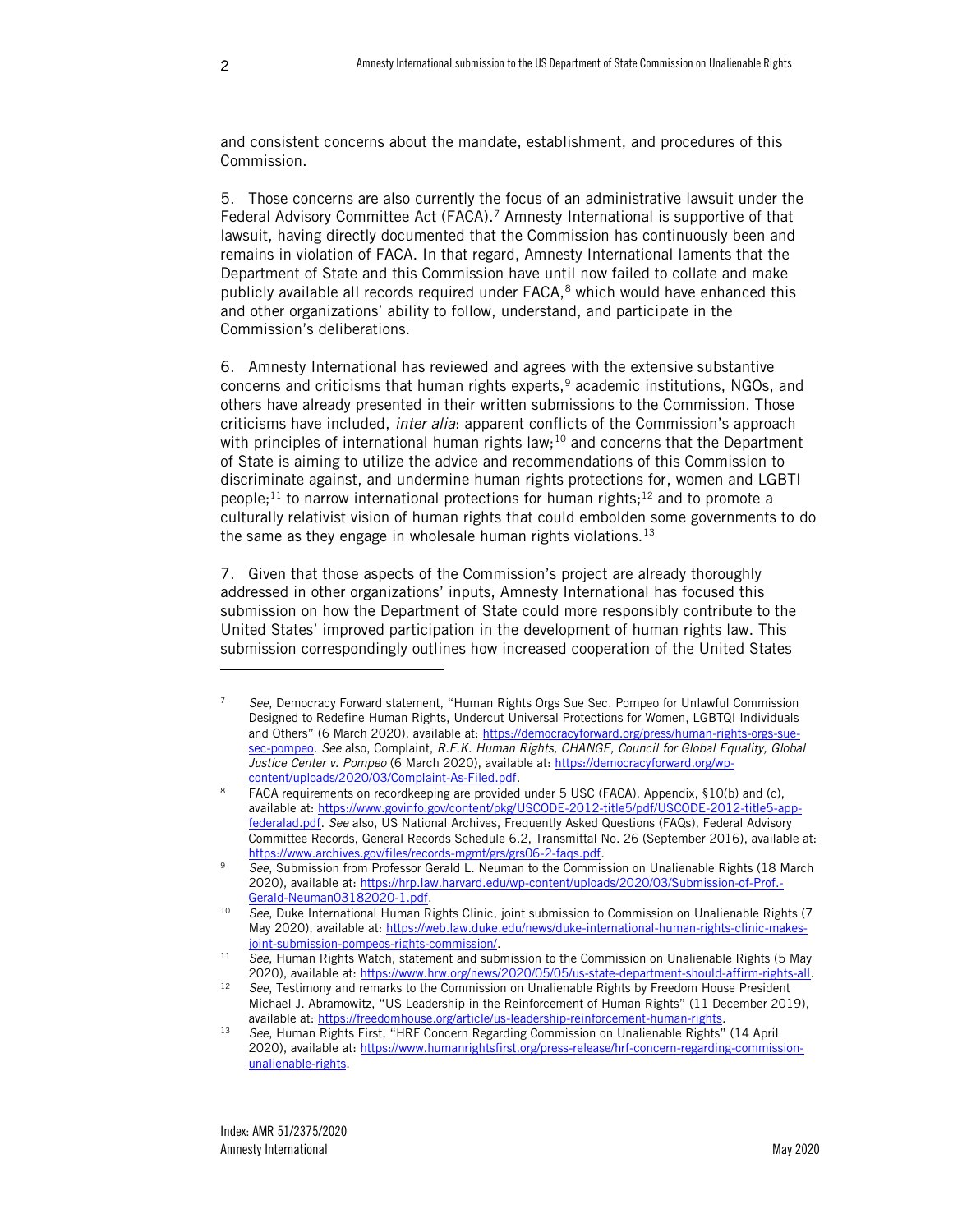-

and consistent concerns about the mandate, establishment, and procedures of this Commission.

5. Those concerns are also currently the focus of an administrative lawsuit under the Federal Advisory Committee Act (FACA).<sup>7</sup> Amnesty International is supportive of that lawsuit, having directly documented that the Commission has continuously been and remains in violation of FACA. In that regard, Amnesty International laments that the Department of State and this Commission have until now failed to collate and make publicly available all records required under  $FACA$ ,<sup>8</sup> which would have enhanced this and other organizations' ability to follow, understand, and participate in the Commission's deliberations.

6. Amnesty International has reviewed and agrees with the extensive substantive concerns and criticisms that human rights experts,<sup>9</sup> academic institutions, NGOs, and others have already presented in their written submissions to the Commission. Those criticisms have included, *inter alia*: apparent conflicts of the Commission's approach with principles of international human rights law;<sup>10</sup> and concerns that the Department of State is aiming to utilize the advice and recommendations of this Commission to discriminate against, and undermine human rights protections for, women and LGBTI people;<sup>11</sup> to narrow international protections for human rights;<sup>12</sup> and to promote a culturally relativist vision of human rights that could embolden some governments to do the same as they engage in wholesale human rights violations.<sup>13</sup>

7. Given that those aspects of the Commission's project are already thoroughly addressed in other organizations' inputs, Amnesty International has focused this submission on how the Department of State could more responsibly contribute to the United States' improved participation in the development of human rights law. This submission correspondingly outlines how increased cooperation of the United States

<sup>7</sup> *See*, Democracy Forward statement, "Human Rights Orgs Sue Sec. Pompeo for Unlawful Commission Designed to Redefine Human Rights, Undercut Universal Protections for Women, LGBTQI Individuals and Others" (6 March 2020), available at: [https://democracyforward.org/press/human-rights-orgs-sue](https://democracyforward.org/press/human-rights-orgs-sue-sec-pompeo)[sec-pompeo.](https://democracyforward.org/press/human-rights-orgs-sue-sec-pompeo) *See* also, Complaint, *R.F.K. Human Rights, CHANGE, Council for Global Equality, Global*  Justice Center v. Pompeo (6 March 2020), available at[: https://democracyforward.org/wp](https://democracyforward.org/wp-content/uploads/2020/03/Complaint-As-Filed.pdf)[content/uploads/2020/03/Complaint-As-Filed.pdf.](https://democracyforward.org/wp-content/uploads/2020/03/Complaint-As-Filed.pdf)

<sup>&</sup>lt;sup>8</sup> FACA requirements on recordkeeping are provided under 5 USC (FACA), Appendix, §10(b) and (c), available at: [https://www.govinfo.gov/content/pkg/USCODE-2012-title5/pdf/USCODE-2012-title5-app](https://www.govinfo.gov/content/pkg/USCODE-2012-title5/pdf/USCODE-2012-title5-app-federalad.pdf)[federalad.pdf.](https://www.govinfo.gov/content/pkg/USCODE-2012-title5/pdf/USCODE-2012-title5-app-federalad.pdf) *See* also, US National Archives, Frequently Asked Questions (FAQs), Federal Advisory Committee Records, General Records Schedule 6.2, Transmittal No. 26 (September 2016), available at: [https://www.archives.gov/files/records-mgmt/grs/grs06-2-faqs.pdf.](https://www.archives.gov/files/records-mgmt/grs/grs06-2-faqs.pdf)

<sup>9</sup> *See*, Submission from Professor Gerald L. Neuman to the Commission on Unalienable Rights (18 March 2020), available at[: https://hrp.law.harvard.edu/wp-content/uploads/2020/03/Submission-of-Prof.-](https://hrp.law.harvard.edu/wp-content/uploads/2020/03/Submission-of-Prof.-Gerald-Neuman03182020-1.pdf) [Gerald-Neuman03182020-1.pdf.](https://hrp.law.harvard.edu/wp-content/uploads/2020/03/Submission-of-Prof.-Gerald-Neuman03182020-1.pdf)

<sup>&</sup>lt;sup>10</sup> *See*, Duke International Human Rights Clinic, joint submission to Commission on Unalienable Rights (7 May 2020), available at: [https://web.law.duke.edu/news/duke-international-human-rights-clinic-makes](https://web.law.duke.edu/news/duke-international-human-rights-clinic-makes-joint-submission-pompeos-rights-commission/)[joint-submission-pompeos-rights-commission/.](https://web.law.duke.edu/news/duke-international-human-rights-clinic-makes-joint-submission-pompeos-rights-commission/)

<sup>11</sup> *See*, Human Rights Watch, statement and submission to the Commission on Unalienable Rights (5 May 2020), available at[: https://www.hrw.org/news/2020/05/05/us-state-department-should-affirm-rights-all.](https://www.hrw.org/news/2020/05/05/us-state-department-should-affirm-rights-all)

<sup>12</sup> *See*, Testimony and remarks to the Commission on Unalienable Rights by Freedom House President Michael J. Abramowitz, "US Leadership in the Reinforcement of Human Rights" (11 December 2019), available at: [https://freedomhouse.org/article/us-leadership-reinforcement-human-rights.](https://freedomhouse.org/article/us-leadership-reinforcement-human-rights)

<sup>13</sup> *See*, Human Rights First, "HRF Concern Regarding Commission on Unalienable Rights" (14 April 2020), available at[: https://www.humanrightsfirst.org/press-release/hrf-concern-regarding-commission](https://www.humanrightsfirst.org/press-release/hrf-concern-regarding-commission-unalienable-rights)[unalienable-rights.](https://www.humanrightsfirst.org/press-release/hrf-concern-regarding-commission-unalienable-rights)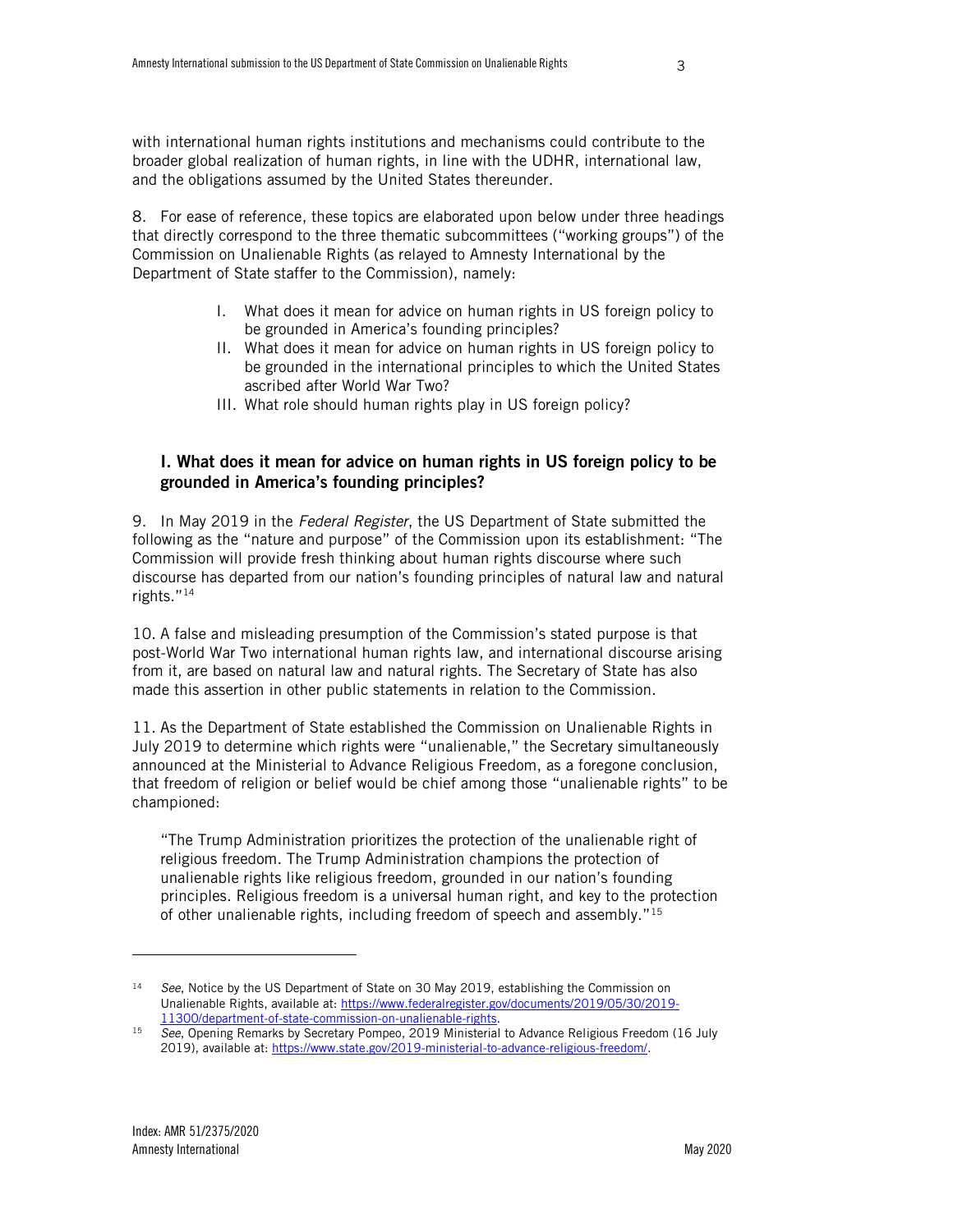broader global realization of human rights, in line with the UDHR, international law, and the obligations assumed by the United States thereunder.

8. For ease of reference, these topics are elaborated upon below under three headings that directly correspond to the three thematic subcommittees ("working groups") of the Commission on Unalienable Rights (as relayed to Amnesty International by the Department of State staffer to the Commission), namely:

- I. What does it mean for advice on human rights in US foreign policy to be grounded in America's founding principles?
- II. What does it mean for advice on human rights in US foreign policy to be grounded in the international principles to which the United States ascribed after World War Two?
- III. What role should human rights play in US foreign policy?

# I. What does it mean for advice on human rights in US foreign policy to be grounded in America's founding principles?

9. In May 2019 in the *Federal Register*, the US Department of State submitted the following as the "nature and purpose" of the Commission upon its establishment: "The Commission will provide fresh thinking about human rights discourse where such discourse has departed from our nation's founding principles of natural law and natural rights."<sup>14</sup>

10. A false and misleading presumption of the Commission's stated purpose is that post-World War Two international human rights law, and international discourse arising from it, are based on natural law and natural rights. The Secretary of State has also made this assertion in other public statements in relation to the Commission.

11. As the Department of State established the Commission on Unalienable Rights in July 2019 to determine which rights were "unalienable," the Secretary simultaneously announced at the Ministerial to Advance Religious Freedom, as a foregone conclusion, that freedom of religion or belief would be chief among those "unalienable rights" to be championed:

"The Trump Administration prioritizes the protection of the unalienable right of religious freedom. The Trump Administration champions the protection of unalienable rights like religious freedom, grounded in our nation's founding principles. Religious freedom is a universal human right, and key to the protection of other unalienable rights, including freedom of speech and assembly."<sup>15</sup>

ł

<sup>&</sup>lt;sup>14</sup> See, Notice by the US Department of State on 30 May 2019, establishing the Commission on Unalienable Rights, available at: [https://www.federalregister.gov/documents/2019/05/30/2019-](https://www.federalregister.gov/documents/2019/05/30/2019-11300/department-of-state-commission-on-unalienable-rights) [11300/department-of-state-commission-on-unalienable-rights.](https://www.federalregister.gov/documents/2019/05/30/2019-11300/department-of-state-commission-on-unalienable-rights)

<sup>15</sup> *See*, Opening Remarks by Secretary Pompeo, 2019 Ministerial to Advance Religious Freedom (16 July 2019), available at: [https://www.state.gov/2019-ministerial-to-advance-religious-freedom/.](https://www.state.gov/2019-ministerial-to-advance-religious-freedom/)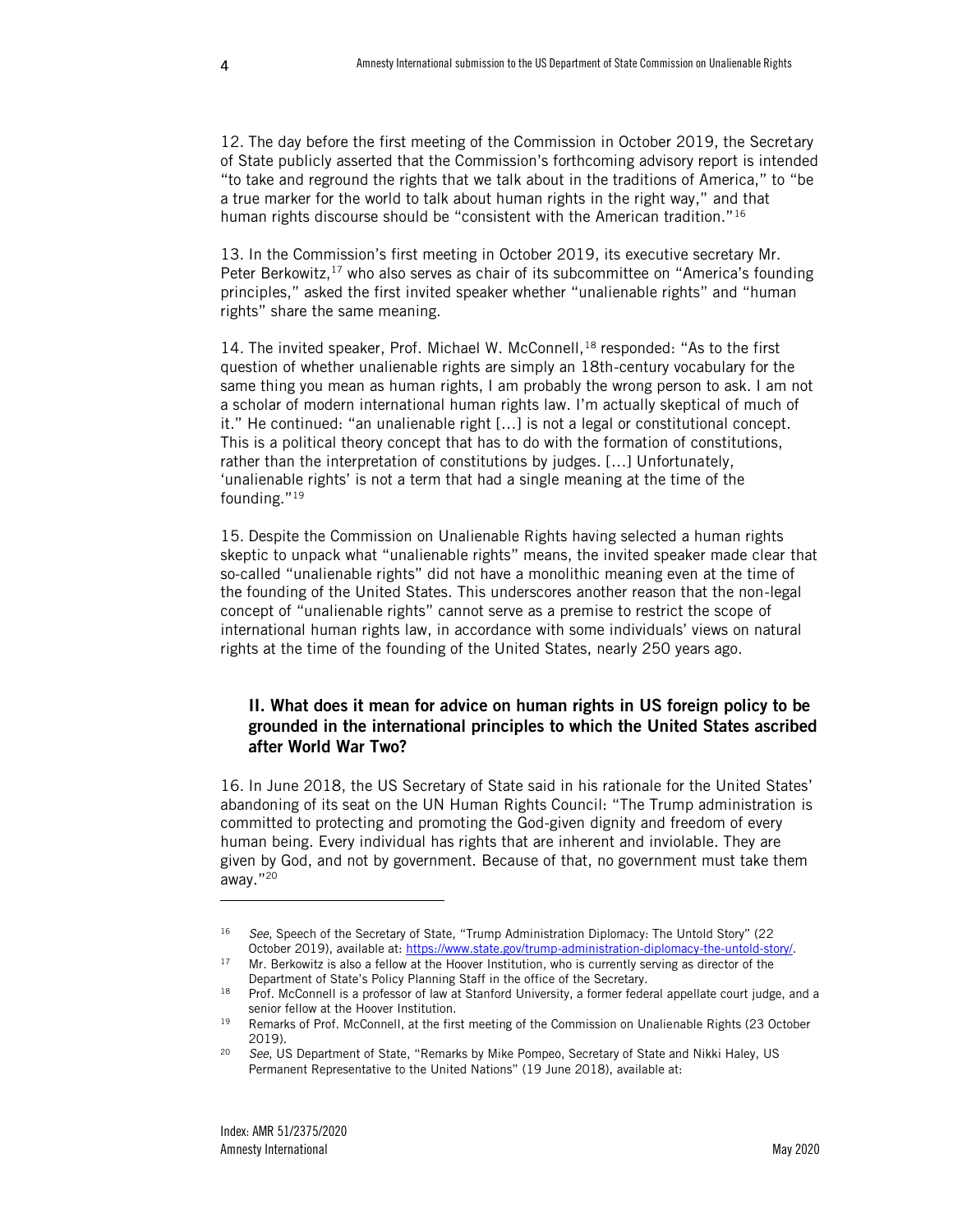12. The day before the first meeting of the Commission in October 2019, the Secretary of State publicly asserted that the Commission's forthcoming advisory report is intended "to take and reground the rights that we talk about in the traditions of America," to "be a true marker for the world to talk about human rights in the right way," and that human rights discourse should be "consistent with the American tradition."<sup>16</sup>

13. In the Commission's first meeting in October 2019, its executive secretary Mr. Peter Berkowitz,<sup>17</sup> who also serves as chair of its subcommittee on "America's founding principles," asked the first invited speaker whether "unalienable rights" and "human rights" share the same meaning.

14. The invited speaker, Prof. Michael W. McConnell,  $^{18}$  responded: "As to the first question of whether unalienable rights are simply an 18th-century vocabulary for the same thing you mean as human rights, I am probably the wrong person to ask. I am not a scholar of modern international human rights law. I'm actually skeptical of much of it." He continued: "an unalienable right […] is not a legal or constitutional concept. This is a political theory concept that has to do with the formation of constitutions, rather than the interpretation of constitutions by judges. […] Unfortunately, 'unalienable rights' is not a term that had a single meaning at the time of the founding."<sup>19</sup>

15. Despite the Commission on Unalienable Rights having selected a human rights skeptic to unpack what "unalienable rights" means, the invited speaker made clear that so-called "unalienable rights" did not have a monolithic meaning even at the time of the founding of the United States. This underscores another reason that the non-legal concept of "unalienable rights" cannot serve as a premise to restrict the scope of international human rights law, in accordance with some individuals' views on natural rights at the time of the founding of the United States, nearly 250 years ago.

## II. What does it mean for advice on human rights in US foreign policy to be grounded in the international principles to which the United States ascribed after World War Two?

16. In June 2018, the US Secretary of State said in his rationale for the United States' abandoning of its seat on the UN Human Rights Council: "The Trump administration is committed to protecting and promoting the God-given dignity and freedom of every human being. Every individual has rights that are inherent and inviolable. They are given by God, and not by government. Because of that, no government must take them away."<sup>20</sup>

<span id="page-5-0"></span><sup>16</sup> *See*, Speech of the Secretary of State, "Trump Administration Diplomacy: The Untold Story" (22 October 2019), available at: [https://www.state.gov/trump-administration-diplomacy-the-untold-story/.](https://www.state.gov/trump-administration-diplomacy-the-untold-story/)

<sup>&</sup>lt;sup>17</sup> Mr. Berkowitz is also a fellow at the Hoover Institution, who is currently serving as director of the Department of State's Policy Planning Staff in the office of the Secretary.

<sup>18</sup> Prof. McConnell is a professor of law at Stanford University, a former federal appellate court judge, and a senior fellow at the Hoover Institution.

<sup>&</sup>lt;sup>19</sup> Remarks of Prof. McConnell, at the first meeting of the Commission on Unalienable Rights (23 October 2019).

<sup>20</sup> *See*, US Department of State, "Remarks by Mike Pompeo, Secretary of State and Nikki Haley, US Permanent Representative to the United Nations" (19 June 2018), available at: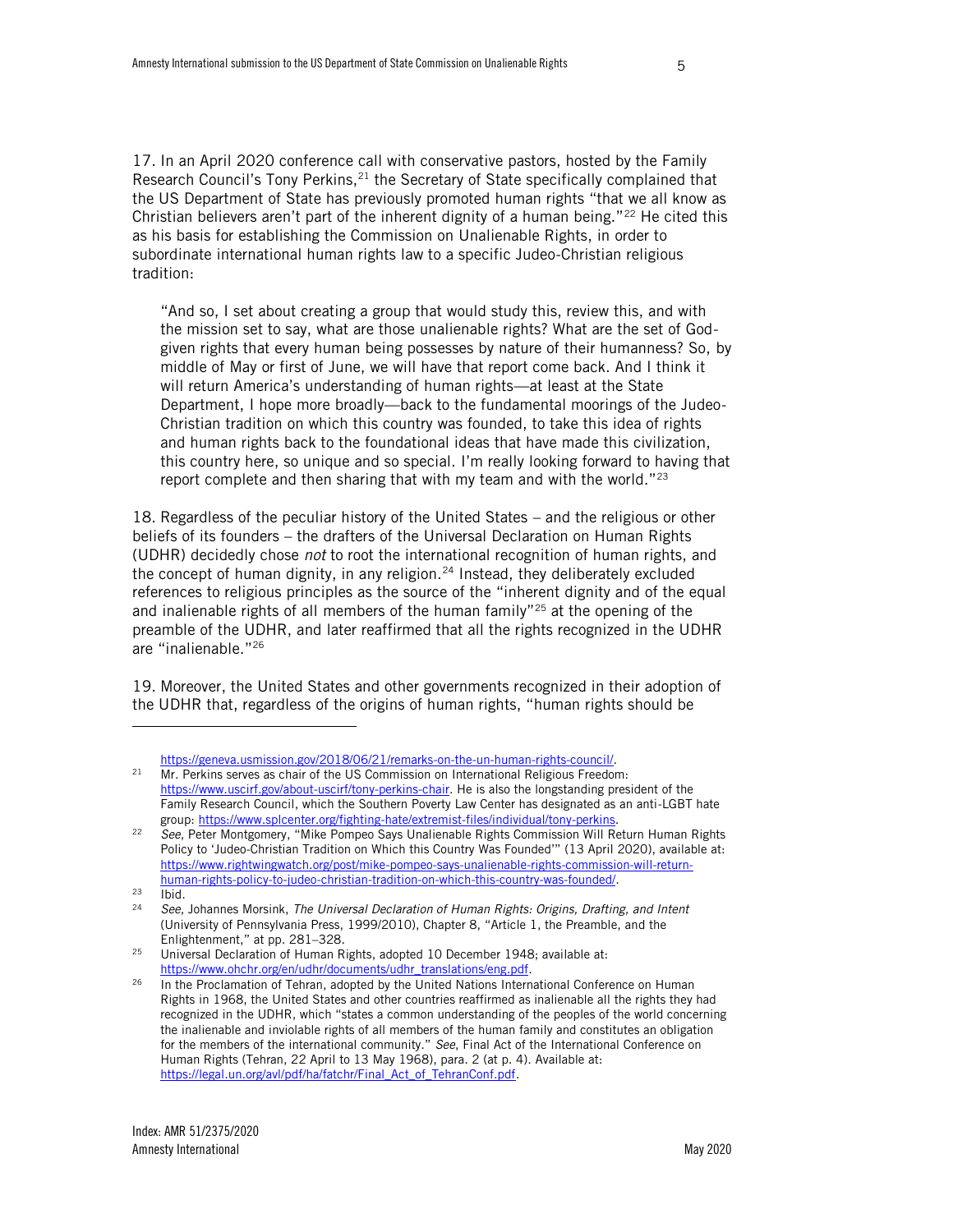17. In an April 2020 conference call with conservative pastors, hosted by the Family Research Council's Tony Perkins,<sup>21</sup> the Secretary of State specifically complained that the US Department of State has previously promoted human rights "that we all know as Christian believers aren't part of the inherent dignity of a human being." $22$  He cited this as his basis for establishing the Commission on Unalienable Rights, in order to subordinate international human rights law to a specific Judeo-Christian religious tradition:

"And so, I set about creating a group that would study this, review this, and with the mission set to say, what are those unalienable rights? What are the set of Godgiven rights that every human being possesses by nature of their humanness? So, by middle of May or first of June, we will have that report come back. And I think it will return America's understanding of human rights—at least at the State Department, I hope more broadly—back to the fundamental moorings of the Judeo-Christian tradition on which this country was founded, to take this idea of rights and human rights back to the foundational ideas that have made this civilization, this country here, so unique and so special. I'm really looking forward to having that report complete and then sharing that with my team and with the world."<sup>23</sup>

18. Regardless of the peculiar history of the United States – and the religious or other beliefs of its founders – the drafters of the Universal Declaration on Human Rights (UDHR) decidedly chose *not* to root the international recognition of human rights, and the concept of human dignity, in any religion. $24$  Instead, they deliberately excluded references to religious principles as the source of the "inherent dignity and of the equal and inalienable rights of all members of the human family"<sup>25</sup> at the opening of the preamble of the UDHR, and later reaffirmed that all the rights recognized in the UDHR are "inalienable."<sup>26</sup>

19. Moreover, the United States and other governments recognized in their adoption of the UDHR that, regardless of the origins of human rights, "human rights should be

[https://geneva.usmission.gov/2018/06/21/remarks-on-the-un-human-rights-council/.](https://geneva.usmission.gov/2018/06/21/remarks-on-the-un-human-rights-council/)

<sup>&</sup>lt;sup>21</sup> Mr. Perkins serves as chair of the US Commission on International Religious Freedom: [https://www.uscirf.gov/about-uscirf/tony-perkins-chair.](https://www.uscirf.gov/about-uscirf/tony-perkins-chair) He is also the longstanding president of the Family Research Council, which the Southern Poverty Law Center has designated as an anti-LGBT hate group[: https://www.splcenter.org/fighting-hate/extremist-files/individual/tony-perkins.](https://www.splcenter.org/fighting-hate/extremist-files/individual/tony-perkins) 

<sup>22</sup> *See*, Peter Montgomery, "Mike Pompeo Says Unalienable Rights Commission Will Return Human Rights Policy to 'Judeo-Christian Tradition on Which this Country Was Founded'" (13 April 2020), available at: [https://www.rightwingwatch.org/post/mike-pompeo-says-unalienable-rights-commission-will-return](https://www.rightwingwatch.org/post/mike-pompeo-says-unalienable-rights-commission-will-return-human-rights-policy-to-judeo-christian-tradition-on-which-this-country-was-founded/)[human-rights-policy-to-judeo-christian-tradition-on-which-this-country-was-founded/.](https://www.rightwingwatch.org/post/mike-pompeo-says-unalienable-rights-commission-will-return-human-rights-policy-to-judeo-christian-tradition-on-which-this-country-was-founded/)

 $rac{23}{24}$  Ibid.

<sup>24</sup> *See*, Johannes Morsink, *The Universal Declaration of Human Rights: Origins, Drafting, and Intent* (University of Pennsylvania Press, 1999/2010), Chapter 8, "Article 1, the Preamble, and the Enlightenment," at pp. 281–328.

<sup>&</sup>lt;sup>25</sup> Universal Declaration of Human Rights, adopted 10 December 1948; available at: [https://www.ohchr.org/en/udhr/documents/udhr\\_translations/eng.pdf.](https://www.ohchr.org/en/udhr/documents/udhr_translations/eng.pdf)

In the Proclamation of Tehran, adopted by the United Nations International Conference on Human Rights in 1968, the United States and other countries reaffirmed as inalienable all the rights they had recognized in the UDHR, which "states a common understanding of the peoples of the world concerning the inalienable and inviolable rights of all members of the human family and constitutes an obligation for the members of the international community." *See*, Final Act of the International Conference on Human Rights (Tehran, 22 April to 13 May 1968), para. 2 (at p. 4). Available at: [https://legal.un.org/avl/pdf/ha/fatchr/Final\\_Act\\_of\\_TehranConf.pdf.](https://legal.un.org/avl/pdf/ha/fatchr/Final_Act_of_TehranConf.pdf)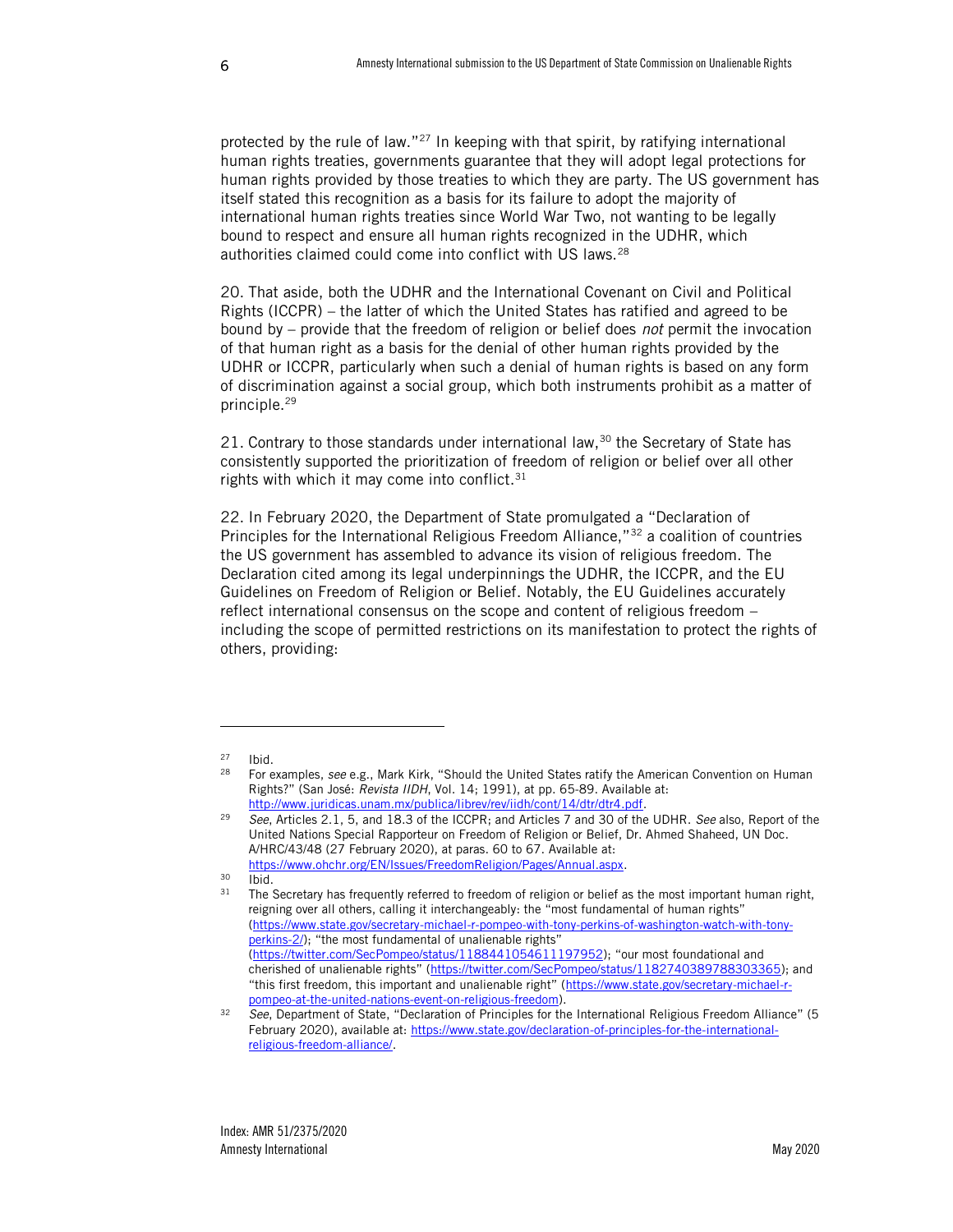protected by the rule of law."<sup>27</sup> In keeping with that spirit, by ratifying international human rights treaties, governments guarantee that they will adopt legal protections for human rights provided by those treaties to which they are party. The US government has itself stated this recognition as a basis for its failure to adopt the majority of international human rights treaties since World War Two, not wanting to be legally bound to respect and ensure all human rights recognized in the UDHR, which authorities claimed could come into conflict with US laws.<sup>28</sup>

20. That aside, both the UDHR and the International Covenant on Civil and Political Rights (ICCPR) – the latter of which the United States has ratified and agreed to be bound by – provide that the freedom of religion or belief does *not* permit the invocation of that human right as a basis for the denial of other human rights provided by the UDHR or ICCPR, particularly when such a denial of human rights is based on any form of discrimination against a social group, which both instruments prohibit as a matter of principle.<sup>29</sup>

21. Contrary to those standards under international law,<sup>30</sup> the Secretary of State has consistently supported the prioritization of freedom of religion or belief over all other rights with which it may come into conflict. $31$ 

22. In February 2020, the Department of State promulgated a "Declaration of Principles for the International Religious Freedom Alliance,"<sup>32</sup> a coalition of countries the US government has assembled to advance its vision of religious freedom. The Declaration cited among its legal underpinnings the UDHR, the ICCPR, and the EU Guidelines on Freedom of Religion or Belief. Notably, the EU Guidelines accurately reflect international consensus on the scope and content of religious freedom – including the scope of permitted restrictions on its manifestation to protect the rights of others, providing:

 $\frac{27}{28}$  Ibid.

<sup>28</sup> For examples, *see* e.g., Mark Kirk, "Should the United States ratify the American Convention on Human Rights?" (San José: *Revista IIDH*, Vol. 14; 1991), at pp. 65-89. Available at: http://www.juridicas.unam.mx/publica/librev/rev/iidh/cont/14/dtr/dtr4.pdf.

<sup>29</sup> *See*, Articles 2.1, 5, and 18.3 of the ICCPR; and Articles 7 and 30 of the UDHR. *See* also, Report of the United Nations Special Rapporteur on Freedom of Religion or Belief, Dr. Ahmed Shaheed, UN Doc. A/HRC/43/48 (27 February 2020), at paras. 60 to 67. Available at: [https://www.ohchr.org/EN/Issues/FreedomReligion/Pages/Annual.aspx.](https://www.ohchr.org/EN/Issues/FreedomReligion/Pages/Annual.aspx)

 $30$  Ibid.<br> $31$  The S

The Secretary has frequently referred to freedom of religion or belief as the most important human right, reigning over all others, calling it interchangeably: the "most fundamental of human rights" [\(https://www.state.gov/secretary-michael-r-pompeo-with-tony-perkins-of-washington-watch-with-tony](https://www.state.gov/secretary-michael-r-pompeo-with-tony-perkins-of-washington-watch-with-tony-perkins-2/)[perkins-2/](https://www.state.gov/secretary-michael-r-pompeo-with-tony-perkins-of-washington-watch-with-tony-perkins-2/)); "the most fundamental of unalienable rights" [\(https://twitter.com/SecPompeo/status/1188441054611197952](https://twitter.com/SecPompeo/status/1188441054611197952)); "our most foundational and cherished of unalienable rights" ([https://twitter.com/SecPompeo/status/1182740389788303365\)](https://twitter.com/SecPompeo/status/1182740389788303365); and "this first freedom, this important and unalienable right" ([https://www.state.gov/secretary-michael-r](https://www.state.gov/secretary-michael-r-pompeo-at-the-united-nations-event-on-religious-freedom)[pompeo-at-the-united-nations-event-on-religious-freedom\)](https://www.state.gov/secretary-michael-r-pompeo-at-the-united-nations-event-on-religious-freedom).

<sup>32</sup> *See*, Department of State, "Declaration of Principles for the International Religious Freedom Alliance" (5 February 2020), available at: [https://www.state.gov/declaration-of-principles-for-the-international](https://www.state.gov/declaration-of-principles-for-the-international-religious-freedom-alliance/)[religious-freedom-alliance/.](https://www.state.gov/declaration-of-principles-for-the-international-religious-freedom-alliance/)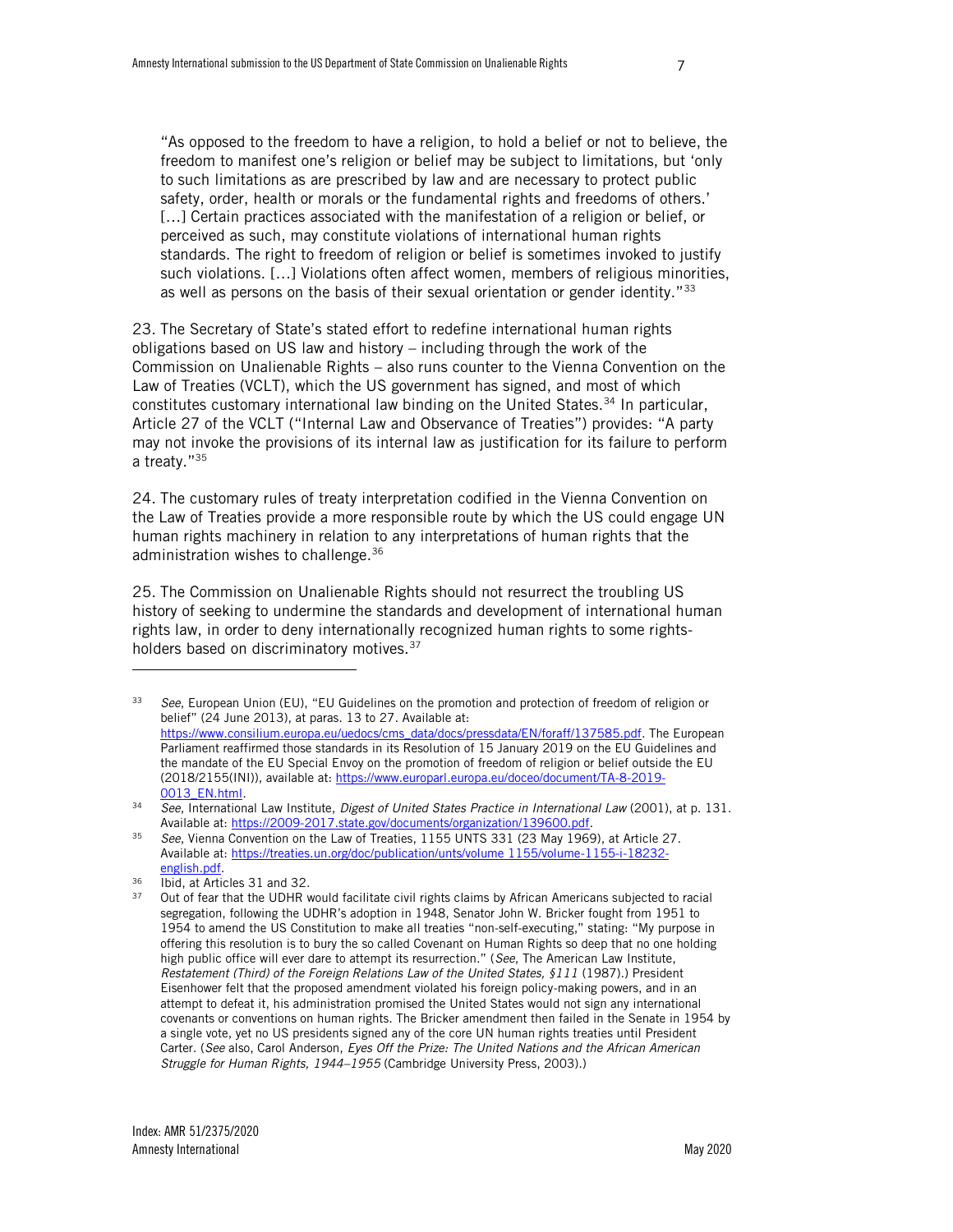"As opposed to the freedom to have a religion, to hold a belief or not to believe, the freedom to manifest one's religion or belief may be subject to limitations, but 'only to such limitations as are prescribed by law and are necessary to protect public safety, order, health or morals or the fundamental rights and freedoms of others.' […] Certain practices associated with the manifestation of a religion or belief, or perceived as such, may constitute violations of international human rights standards. The right to freedom of religion or belief is sometimes invoked to justify such violations. […] Violations often affect women, members of religious minorities, as well as persons on the basis of their sexual orientation or gender identity." $33$ 

<span id="page-8-1"></span>23. The Secretary of State's stated effort to redefine international human rights obligations based on US law and history – including through the work of the Commission on Unalienable Rights – also runs counter to the Vienna Convention on the Law of Treaties (VCLT), which the US government has signed, and most of which constitutes customary international law binding on the United States.<sup>34</sup> In particular, Article 27 of the VCLT ("Internal Law and Observance of Treaties") provides: "A party may not invoke the provisions of its internal law as justification for its failure to perform a treaty."<sup>35</sup>

24. The customary rules of treaty interpretation codified in the Vienna Convention on the Law of Treaties provide a more responsible route by which the US could engage UN human rights machinery in relation to any interpretations of human rights that the administration wishes to challenge.<sup>36</sup>

<span id="page-8-0"></span>25. The Commission on Unalienable Rights should not resurrect the troubling US history of seeking to undermine the standards and development of international human rights law, in order to deny internationally recognized human rights to some rightsholders based on discriminatory motives.<sup>37</sup>

<sup>33</sup> *See*, European Union (EU), "EU Guidelines on the promotion and protection of freedom of religion or belief" (24 June 2013), at paras. 13 to 27. Available at: [https://www.consilium.europa.eu/uedocs/cms\\_data/docs/pressdata/EN/foraff/137585.pdf.](https://www.consilium.europa.eu/uedocs/cms_data/docs/pressdata/EN/foraff/137585.pdf) The European Parliament reaffirmed those standards in its Resolution of 15 January 2019 on the EU Guidelines and the mandate of the EU Special Envoy on the promotion of freedom of religion or belief outside the EU (2018/2155(INI)), available at[: https://www.europarl.europa.eu/doceo/document/TA-8-2019-](https://www.europarl.europa.eu/doceo/document/TA-8-2019-0013_EN.html) [0013\\_EN.html.](https://www.europarl.europa.eu/doceo/document/TA-8-2019-0013_EN.html)

<sup>34</sup> *See*, International Law Institute, *Digest of United States Practice in International Law* (2001), at p. 131. Available at[: https://2009-2017.state.gov/documents/organization/139600.pdf.](https://2009-2017.state.gov/documents/organization/139600.pdf)

<sup>35</sup> *See*, Vienna Convention on the Law of Treaties, 1155 UNTS 331 (23 May 1969), at Article 27. Available at[: https://treaties.un.org/doc/publication/unts/volume 1155/volume-1155-i-18232](https://treaties.un.org/doc/publication/unts/volume%201155/volume-1155-i-18232-english.pdf) [english.pdf.](https://treaties.un.org/doc/publication/unts/volume%201155/volume-1155-i-18232-english.pdf)

<sup>&</sup>lt;sup>36</sup> Ibid, at Articles 31 and 32.

Out of fear that the UDHR would facilitate civil rights claims by African Americans subjected to racial segregation, following the UDHR's adoption in 1948, Senator John W. Bricker fought from 1951 to 1954 to amend the US Constitution to make all treaties "non-self-executing," stating: "My purpose in offering this resolution is to bury the so called Covenant on Human Rights so deep that no one holding high public office will ever dare to attempt its resurrection." (*See*, The American Law Institute, *Restatement (Third) of the Foreign Relations Law of the United States, §111* (1987).) President Eisenhower felt that the proposed amendment violated his foreign policy-making powers, and in an attempt to defeat it, his administration promised the United States would not sign any international covenants or conventions on human rights. The Bricker amendment then failed in the Senate in 1954 by a single vote, yet no US presidents signed any of the core UN human rights treaties until President Carter. (*See* also, Carol Anderson, *Eyes Off the Prize: The United Nations and the African American Struggle for Human Rights, 1944–1955* (Cambridge University Press, 2003).)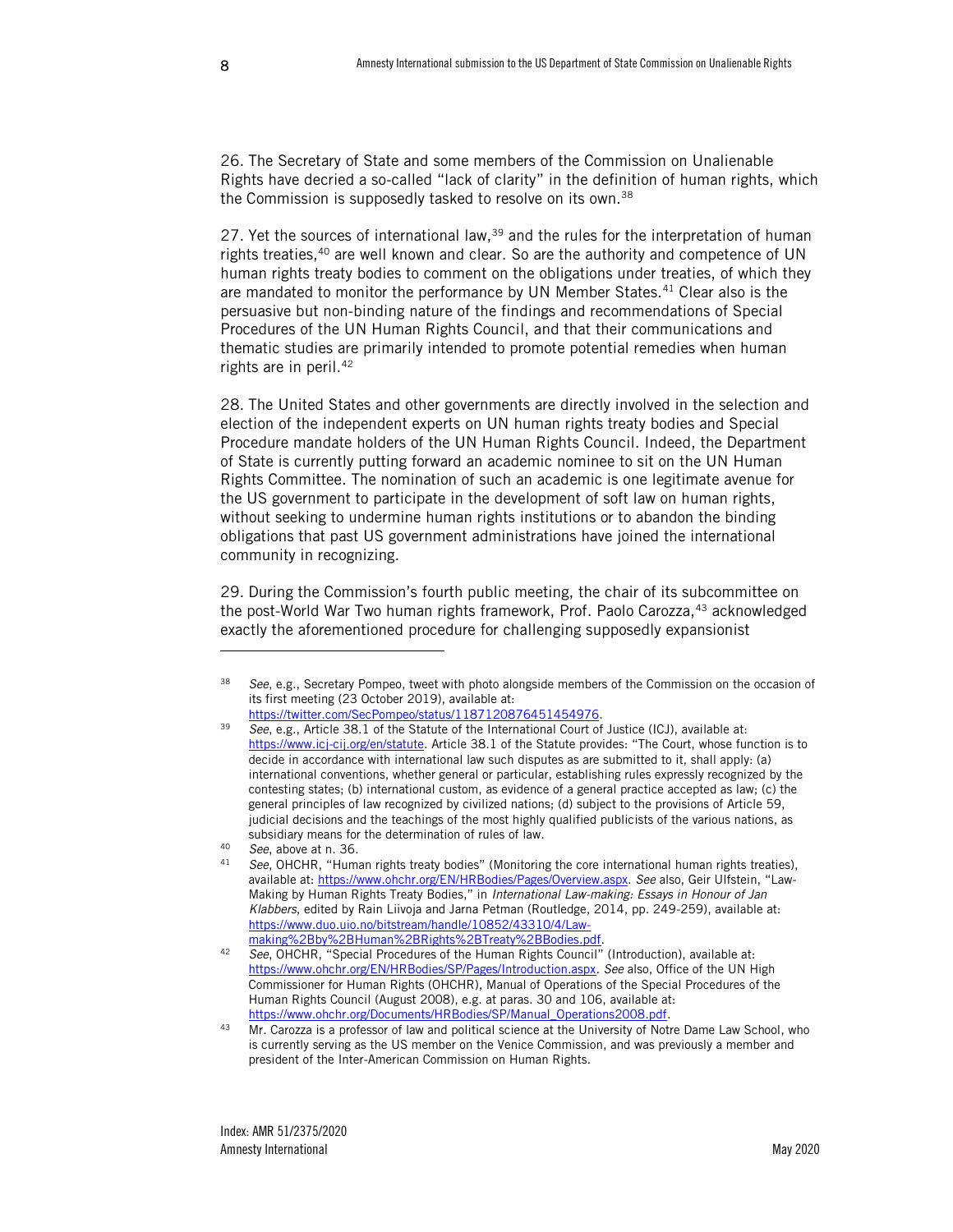26. The Secretary of State and some members of the Commission on Unalienable Rights have decried a so-called "lack of clarity" in the definition of human rights, which the Commission is supposedly tasked to resolve on its own.<sup>38</sup>

27. Yet the sources of international law, $39$  and the rules for the interpretation of human rights treaties,<sup>40</sup> are well known and clear. So are the authority and competence of UN human rights treaty bodies to comment on the obligations under treaties, of which they are mandated to monitor the performance by UN Member States.<sup>41</sup> Clear also is the persuasive but non-binding nature of the findings and recommendations of Special Procedures of the UN Human Rights Council, and that their communications and thematic studies are primarily intended to promote potential remedies when human rights are in peril.<sup>42</sup>

28. The United States and other governments are directly involved in the selection and election of the independent experts on UN human rights treaty bodies and Special Procedure mandate holders of the UN Human Rights Council. Indeed, the Department of State is currently putting forward an academic nominee to sit on the UN Human Rights Committee. The nomination of such an academic is one legitimate avenue for the US government to participate in the development of soft law on human rights, without seeking to undermine human rights institutions or to abandon the binding obligations that past US government administrations have joined the international community in recognizing.

29. During the Commission's fourth public meeting, the chair of its subcommittee on the post-World War Two human rights framework, Prof. Paolo Carozza,<sup>43</sup> acknowledged exactly the aforementioned procedure for challenging supposedly expansionist

See, e.g., Secretary Pompeo, tweet with photo alongside members of the Commission on the occasion of its first meeting (23 October 2019), available at:

[https://twitter.com/SecPompeo/status/1187120876451454976.](https://twitter.com/SecPompeo/status/1187120876451454976)

<sup>39</sup> *See*, e.g., Article 38.1 of the Statute of the International Court of Justice (ICJ), available at: <https://www.icj-cij.org/en/statute>. Article 38.1 of the Statute provides: "The Court, whose function is to decide in accordance with international law such disputes as are submitted to it, shall apply: (a) international conventions, whether general or particular, establishing rules expressly recognized by the contesting states; (b) international custom, as evidence of a general practice accepted as law; (c) the general principles of law recognized by civilized nations; (d) subject to the provisions of Article 59, judicial decisions and the teachings of the most highly qualified publicists of the various nations, as subsidiary means for the determination of rules of law.

<sup>40</sup> *See*, above at n. [36.](#page-8-0)<br>41 **See OHCHR** "Hum

<sup>41</sup> *See*, OHCHR, "Human rights treaty bodies" (Monitoring the core international human rights treaties), available at: [https://www.ohchr.org/EN/HRBodies/Pages/Overview.aspx.](https://www.ohchr.org/EN/HRBodies/Pages/Overview.aspx) *See* also, Geir Ulfstein, "Law-Making by Human Rights Treaty Bodies," in *International Law-making: Essays in Honour of Jan Klabbers*, edited by Rain Liivoja and Jarna Petman (Routledge, 2014, pp. 249-259), available at: [https://www.duo.uio.no/bitstream/handle/10852/43310/4/Law](https://www.duo.uio.no/bitstream/handle/10852/43310/4/Law-making%2Bby%2BHuman%2BRights%2BTreaty%2BBodies.pdf)[making%2Bby%2BHuman%2BRights%2BTreaty%2BBodies.pdf.](https://www.duo.uio.no/bitstream/handle/10852/43310/4/Law-making%2Bby%2BHuman%2BRights%2BTreaty%2BBodies.pdf)

<sup>42</sup> *See*, OHCHR, "Special Procedures of the Human Rights Council" (Introduction), available at: [https://www.ohchr.org/EN/HRBodies/SP/Pages/Introduction.aspx.](https://www.ohchr.org/EN/HRBodies/SP/Pages/Introduction.aspx) *See* also, Office of the UN High Commissioner for Human Rights (OHCHR), Manual of Operations of the Special Procedures of the Human Rights Council (August 2008), e.g. at paras. 30 and 106, available at: [https://www.ohchr.org/Documents/HRBodies/SP/Manual\\_Operations2008.pdf.](https://www.ohchr.org/Documents/HRBodies/SP/Manual_Operations2008.pdf)

Mr. Carozza is a professor of law and political science at the University of Notre Dame Law School, who is currently serving as the US member on the Venice Commission, and was previously a member and president of the Inter-American Commission on Human Rights.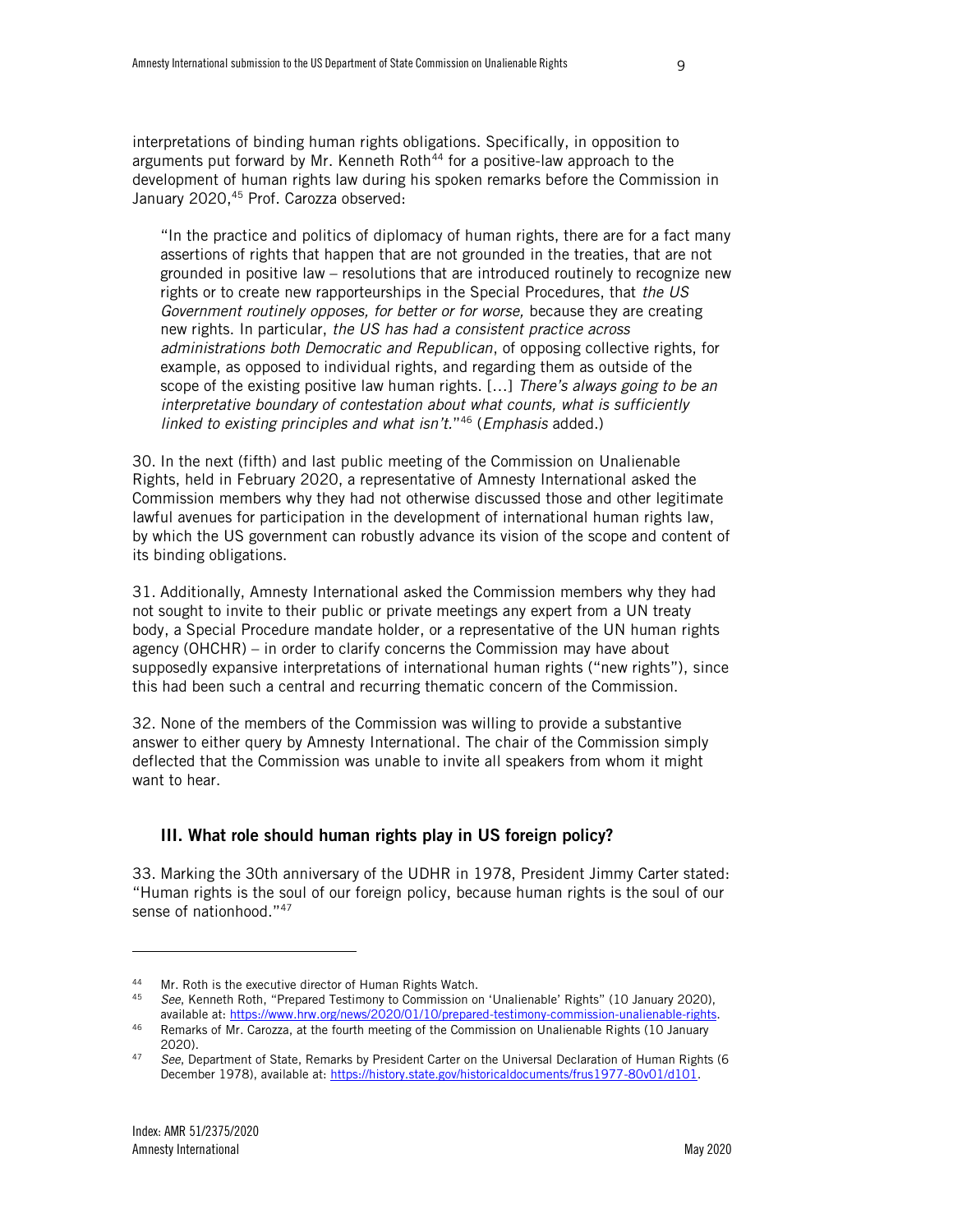interpretations of binding human rights obligations. Specifically, in opposition to arguments put forward by Mr. Kenneth Roth<sup>44</sup> for a positive-law approach to the development of human rights law during his spoken remarks before the Commission in January 2020,<sup>45</sup> Prof. Carozza observed:

"In the practice and politics of diplomacy of human rights, there are for a fact many assertions of rights that happen that are not grounded in the treaties, that are not grounded in positive law – resolutions that are introduced routinely to recognize new rights or to create new rapporteurships in the Special Procedures, that *the US Government routinely opposes, for better or for worse,* because they are creating new rights. In particular, *the US has had a consistent practice across administrations both Democratic and Republican*, of opposing collective rights, for example, as opposed to individual rights, and regarding them as outside of the scope of the existing positive law human rights. […] *There's always going to be an interpretative boundary of contestation about what counts, what is sufficiently linked to existing principles and what isn't.*" <sup>46</sup> (*Emphasis* added.)

30. In the next (fifth) and last public meeting of the Commission on Unalienable Rights, held in February 2020, a representative of Amnesty International asked the Commission members why they had not otherwise discussed those and other legitimate lawful avenues for participation in the development of international human rights law, by which the US government can robustly advance its vision of the scope and content of its binding obligations.

31. Additionally, Amnesty International asked the Commission members why they had not sought to invite to their public or private meetings any expert from a UN treaty body, a Special Procedure mandate holder, or a representative of the UN human rights agency (OHCHR) – in order to clarify concerns the Commission may have about supposedly expansive interpretations of international human rights ("new rights"), since this had been such a central and recurring thematic concern of the Commission.

32. None of the members of the Commission was willing to provide a substantive answer to either query by Amnesty International. The chair of the Commission simply deflected that the Commission was unable to invite all speakers from whom it might want to hear.

#### III. What role should human rights play in US foreign policy?

33. Marking the 30th anniversary of the UDHR in 1978, President Jimmy Carter stated: "Human rights is the soul of our foreign policy, because human rights is the soul of our sense of nationhood."<sup>47</sup>

<sup>&</sup>lt;sup>44</sup> Mr. Roth is the executive director of Human Rights Watch.<br><sup>45</sup> See Kenneth Roth, "Prenared Testimony to Commission of

<sup>45</sup> *See*, Kenneth Roth, "Prepared Testimony to Commission on 'Unalienable' Rights" (10 January 2020), available at[: https://www.hrw.org/news/2020/01/10/prepared-testimony-commission-unalienable-rights.](https://www.hrw.org/news/2020/01/10/prepared-testimony-commission-unalienable-rights)

<sup>46</sup> Remarks of Mr. Carozza, at the fourth meeting of the Commission on Unalienable Rights (10 January 2020).

<sup>47</sup> *See*, Department of State, Remarks by President Carter on the Universal Declaration of Human Rights (6 December 1978), available at: [https://history.state.gov/historicaldocuments/frus1977-80v01/d101.](https://history.state.gov/historicaldocuments/frus1977-80v01/d101)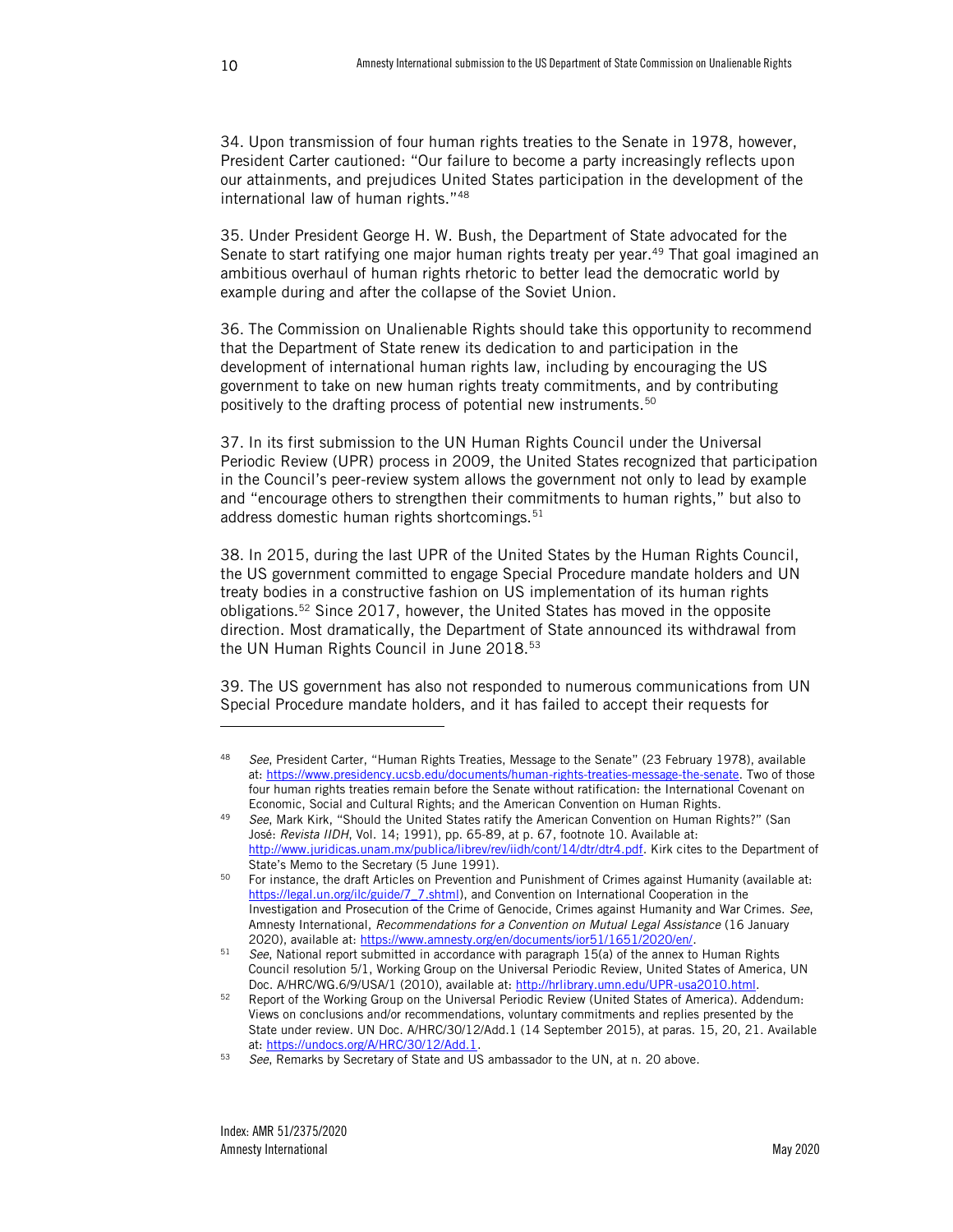34. Upon transmission of four human rights treaties to the Senate in 1978, however, President Carter cautioned: "Our failure to become a party increasingly reflects upon our attainments, and prejudices United States participation in the development of the international law of human rights."<sup>48</sup>

35. Under President George H. W. Bush, the Department of State advocated for the Senate to start ratifying one major human rights treaty per year.<sup>49</sup> That goal imagined an ambitious overhaul of human rights rhetoric to better lead the democratic world by example during and after the collapse of the Soviet Union.

36. The Commission on Unalienable Rights should take this opportunity to recommend that the Department of State renew its dedication to and participation in the development of international human rights law, including by encouraging the US government to take on new human rights treaty commitments, and by contributing positively to the drafting process of potential new instruments.<sup>50</sup>

37. In its first submission to the UN Human Rights Council under the Universal Periodic Review (UPR) process in 2009, the United States recognized that participation in the Council's peer-review system allows the government not only to lead by example and "encourage others to strengthen their commitments to human rights," but also to address domestic human rights shortcomings.<sup>51</sup>

38. In 2015, during the last UPR of the United States by the Human Rights Council, the US government committed to engage Special Procedure mandate holders and UN treaty bodies in a constructive fashion on US implementation of its human rights obligations.<sup>52</sup> Since 2017, however, the United States has moved in the opposite direction. Most dramatically, the Department of State announced its withdrawal from the UN Human Rights Council in June 2018.<sup>53</sup>

39. The US government has also not responded to numerous communications from UN Special Procedure mandate holders, and it has failed to accept their requests for

<sup>48</sup> *See*, President Carter, "Human Rights Treaties, Message to the Senate" (23 February 1978), available at: [https://www.presidency.ucsb.edu/documents/human-rights-treaties-message-the-senate.](https://www.presidency.ucsb.edu/documents/human-rights-treaties-message-the-senate) Two of those four human rights treaties remain before the Senate without ratification: the International Covenant on Economic, Social and Cultural Rights; and the American Convention on Human Rights.

<sup>49</sup> *See*, Mark Kirk, "Should the United States ratify the American Convention on Human Rights?" (San José: *Revista IIDH*, Vol. 14; 1991), pp. 65-89, at p. 67, footnote 10. Available at: [http://www.juridicas.unam.mx/publica/librev/rev/iidh/cont/14/dtr/dtr4.pdf.](http://www.juridicas.unam.mx/publica/librev/rev/iidh/cont/14/dtr/dtr4.pdf) Kirk cites to the Department of State's Memo to the Secretary (5 June 1991).

<sup>&</sup>lt;sup>50</sup> For instance, the draft Articles on Prevention and Punishment of Crimes against Humanity (available at: [https://legal.un.org/ilc/guide/7\\_7.shtml\)](https://legal.un.org/ilc/guide/7_7.shtml), and Convention on International Cooperation in the Investigation and Prosecution of the Crime of Genocide, Crimes against Humanity and War Crimes. *See*, Amnesty International, *Recommendations for a Convention on Mutual Legal Assistance* (16 January 2020), available at[: https://www.amnesty.org/en/documents/ior51/1651/2020/en/.](https://www.amnesty.org/en/documents/ior51/1651/2020/en/)

<sup>51</sup> *See*, National report submitted in accordance with paragraph 15(a) of the annex to Human Rights Council resolution 5/1, Working Group on the Universal Periodic Review, United States of America, UN Doc. A/HRC/WG.6/9/USA/1 (2010), available at[: http://hrlibrary.umn.edu/UPR-usa2010.html.](http://hrlibrary.umn.edu/UPR-usa2010.html)

<sup>52</sup> Report of the Working Group on the Universal Periodic Review (United States of America). Addendum: Views on conclusions and/or recommendations, voluntary commitments and replies presented by the State under review. UN Doc. A/HRC/30/12/Add.1 (14 September 2015), at paras. 15, 20, 21. Available at: [https://undocs.org/A/HRC/30/12/Add.1.](https://undocs.org/A/HRC/30/12/Add.1)

<sup>53</sup> *See*, Remarks by Secretary of State and US ambassador to the UN, at n. [20](#page-5-0) above.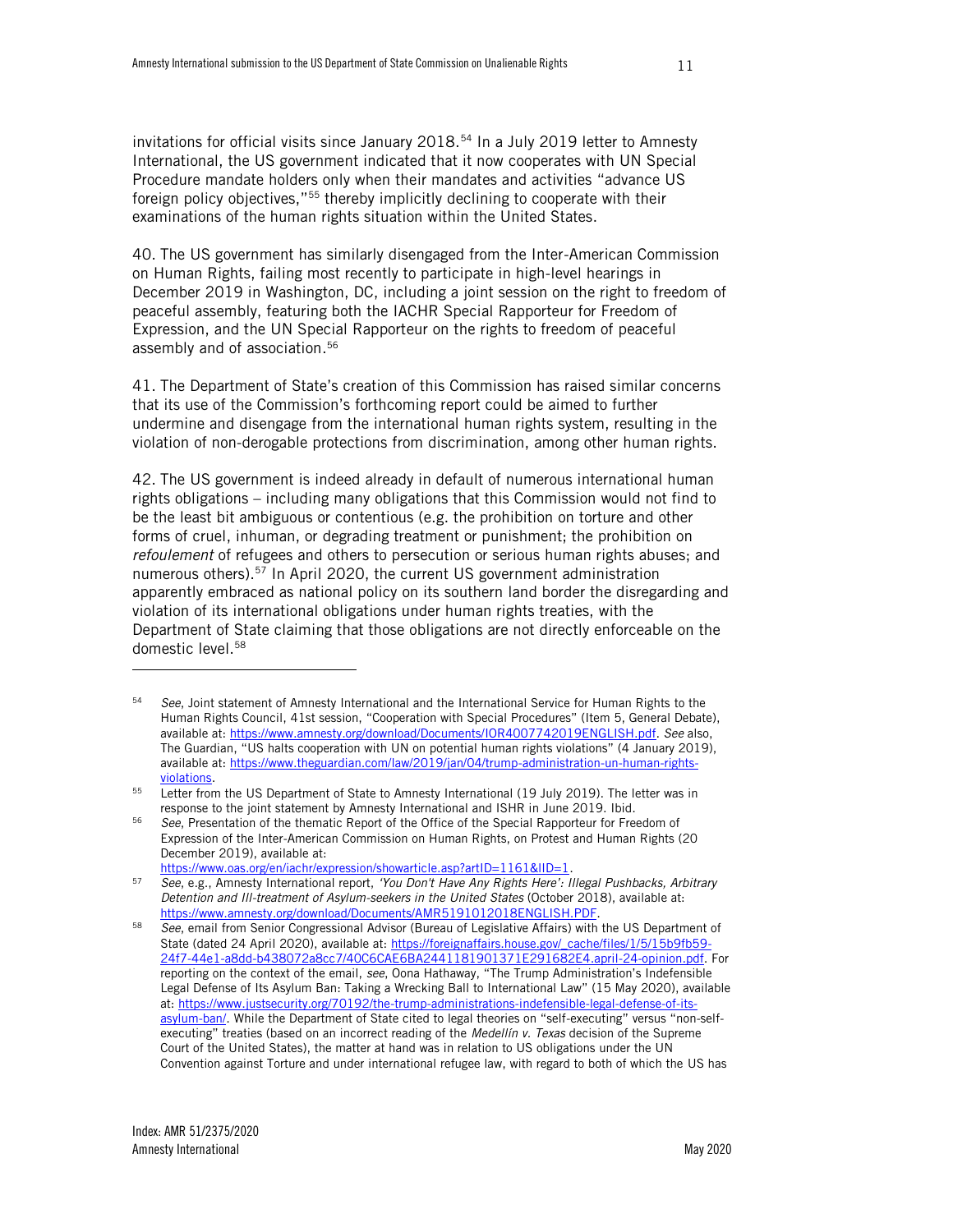invitations for official visits since January 2018.<sup>54</sup> In a July 2019 letter to Amnesty International, the US government indicated that it now cooperates with UN Special Procedure mandate holders only when their mandates and activities "advance US foreign policy objectives,"<sup>55</sup> thereby implicitly declining to cooperate with their examinations of the human rights situation within the United States.

40. The US government has similarly disengaged from the Inter-American Commission on Human Rights, failing most recently to participate in high-level hearings in December 2019 in Washington, DC, including a joint session on the right to freedom of peaceful assembly, featuring both the IACHR Special Rapporteur for Freedom of Expression, and the UN Special Rapporteur on the rights to freedom of peaceful assembly and of association. 56

41. The Department of State's creation of this Commission has raised similar concerns that its use of the Commission's forthcoming report could be aimed to further undermine and disengage from the international human rights system, resulting in the violation of non-derogable protections from discrimination, among other human rights.

42. The US government is indeed already in default of numerous international human rights obligations – including many obligations that this Commission would not find to be the least bit ambiguous or contentious (e.g. the prohibition on torture and other forms of cruel, inhuman, or degrading treatment or punishment; the prohibition on *refoulement* of refugees and others to persecution or serious human rights abuses; and numerous others).<sup>57</sup> In April 2020, the current US government administration apparently embraced as national policy on its southern land border the disregarding and violation of its international obligations under human rights treaties, with the Department of State claiming that those obligations are not directly enforceable on the domestic level.<sup>58</sup>

<sup>54</sup> *See*, Joint statement of Amnesty International and the International Service for Human Rights to the Human Rights Council, 41st session, "Cooperation with Special Procedures" (Item 5, General Debate), available at[: https://www.amnesty.org/download/Documents/IOR4007742019ENGLISH.pdf.](https://www.amnesty.org/download/Documents/IOR4007742019ENGLISH.pdf) *See* also, The Guardian, "US halts cooperation with UN on potential human rights violations" (4 January 2019), available at[: https://www.theguardian.com/law/2019/jan/04/trump-administration-un-human-rights](https://www.theguardian.com/law/2019/jan/04/trump-administration-un-human-rights-violations)[violations.](https://www.theguardian.com/law/2019/jan/04/trump-administration-un-human-rights-violations)

<sup>&</sup>lt;sup>55</sup> Letter from the US Department of State to Amnesty International (19 July 2019). The letter was in response to the joint statement by Amnesty International and ISHR in June 2019. Ibid.

<sup>56</sup> *See*, Presentation of the thematic Report of the Office of the Special Rapporteur for Freedom of Expression of the Inter-American Commission on Human Rights, on Protest and Human Rights (20 December 2019), available at:

https://www.oas.org/en/iachr/expression/showarticle.asp?artID=1161&IID=1.

<sup>57</sup> *See*, e.g., Amnesty International report, *'You Don't Have Any Rights Here': Illegal Pushbacks, Arbitrary Detention and Ill-treatment of Asylum-seekers in the United States* (October 2018), available at: [https://www.amnesty.org/download/Documents/AMR5191012018ENGLISH.PDF.](https://www.amnesty.org/download/Documents/AMR5191012018ENGLISH.PDF) 

<sup>58</sup> *See*, email from Senior Congressional Advisor (Bureau of Legislative Affairs) with the US Department of State (dated 24 April 2020), available at: [https://foreignaffairs.house.gov/\\_cache/files/1/5/15b9fb59-](https://foreignaffairs.house.gov/_cache/files/1/5/15b9fb59-24f7-44e1-a8dd-b438072a8cc7/40C6CAE6BA2441181901371E291682E4.april-24-opinion.pdf) [24f7-44e1-a8dd-b438072a8cc7/40C6CAE6BA2441181901371E291682E4.april-24-opinion.pdf.](https://foreignaffairs.house.gov/_cache/files/1/5/15b9fb59-24f7-44e1-a8dd-b438072a8cc7/40C6CAE6BA2441181901371E291682E4.april-24-opinion.pdf) For reporting on the context of the email, *see*, Oona Hathaway, "The Trump Administration's Indefensible Legal Defense of Its Asylum Ban: Taking a Wrecking Ball to International Law" (15 May 2020), available at[: https://www.justsecurity.org/70192/the-trump-administrations-indefensible-legal-defense-of-its](https://www.justsecurity.org/70192/the-trump-administrations-indefensible-legal-defense-of-its-asylum-ban/)[asylum-ban/](https://www.justsecurity.org/70192/the-trump-administrations-indefensible-legal-defense-of-its-asylum-ban/). While the Department of State cited to legal theories on "self-executing" versus "non-selfexecuting" treaties (based on an incorrect reading of the *Medellín v. Texas* decision of the Supreme Court of the United States), the matter at hand was in relation to US obligations under the UN Convention against Torture and under international refugee law, with regard to both of which the US has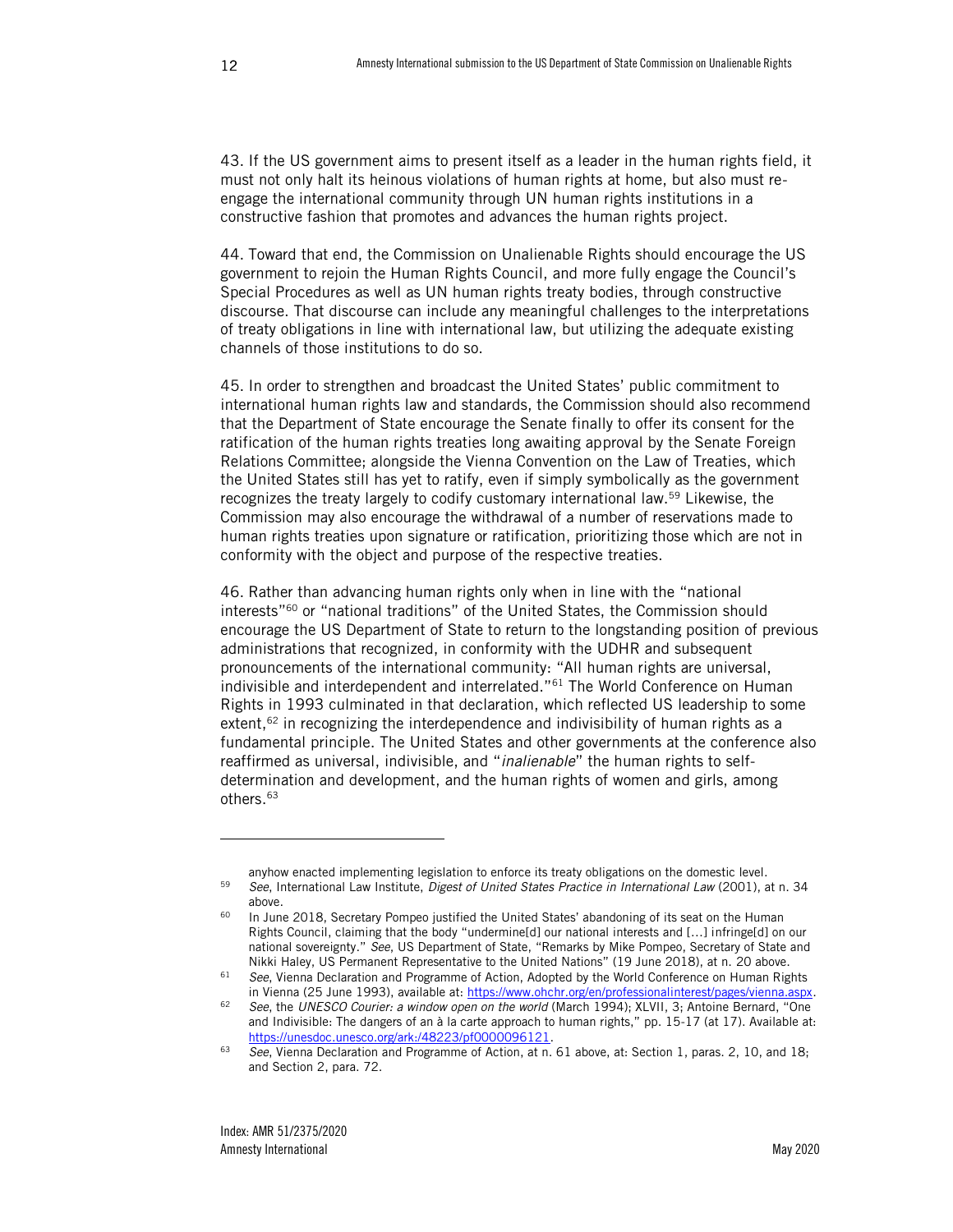43. If the US government aims to present itself as a leader in the human rights field, it must not only halt its heinous violations of human rights at home, but also must reengage the international community through UN human rights institutions in a constructive fashion that promotes and advances the human rights project.

44. Toward that end, the Commission on Unalienable Rights should encourage the US government to rejoin the Human Rights Council, and more fully engage the Council's Special Procedures as well as UN human rights treaty bodies, through constructive discourse. That discourse can include any meaningful challenges to the interpretations of treaty obligations in line with international law, but utilizing the adequate existing channels of those institutions to do so.

45. In order to strengthen and broadcast the United States' public commitment to international human rights law and standards, the Commission should also recommend that the Department of State encourage the Senate finally to offer its consent for the ratification of the human rights treaties long awaiting approval by the Senate Foreign Relations Committee; alongside the Vienna Convention on the Law of Treaties, which the United States still has yet to ratify, even if simply symbolically as the government recognizes the treaty largely to codify customary international law.<sup>59</sup> Likewise, the Commission may also encourage the withdrawal of a number of reservations made to human rights treaties upon signature or ratification, prioritizing those which are not in conformity with the object and purpose of the respective treaties.

<span id="page-13-0"></span>46. Rather than advancing human rights only when in line with the "national interests"<sup>60</sup> or "national traditions" of the United States, the Commission should encourage the US Department of State to return to the longstanding position of previous administrations that recognized, in conformity with the UDHR and subsequent pronouncements of the international community: "All human rights are universal, indivisible and interdependent and interrelated."<sup>61</sup> The World Conference on Human Rights in 1993 culminated in that declaration, which reflected US leadership to some extent,<sup>62</sup> in recognizing the interdependence and indivisibility of human rights as a fundamental principle. The United States and other governments at the conference also reaffirmed as universal, indivisible, and "*inalienable*" the human rights to selfdetermination and development, and the human rights of women and girls, among others.<sup>63</sup>

anyhow enacted implementing legislation to enforce its treaty obligations on the domestic level. <sup>59</sup> *See*, International Law Institute, *Digest of United States Practice in International Law* (2001), at n[. 34](#page-8-1) above.

<sup>&</sup>lt;sup>60</sup> In June 2018, Secretary Pompeo justified the United States' abandoning of its seat on the Human Rights Council, claiming that the body "undermine[d] our national interests and […] infringe[d] on our national sovereignty." *See*, US Department of State, "Remarks by Mike Pompeo, Secretary of State and Nikki Haley, US Permanent Representative to the United Nations" (19 June 2018), at n. [20](#page-5-0) above.

<sup>61</sup> *See*, Vienna Declaration and Programme of Action, Adopted by the World Conference on Human Rights in Vienna (25 June 1993), available at: [https://www.ohchr.org/en/professionalinterest/pages/vienna.aspx.](https://www.ohchr.org/en/professionalinterest/pages/vienna.aspx)

<sup>62</sup> *See*, the *UNESCO Courier: a window open on the world* (March 1994); XLVII, 3; Antoine Bernard, "One and Indivisible: The dangers of an à la carte approach to human rights," pp. 15-17 (at 17). Available at: [https://unesdoc.unesco.org/ark:/48223/pf0000096121.](https://unesdoc.unesco.org/ark:/48223/pf0000096121) 

<sup>63</sup> *See*, Vienna Declaration and Programme of Action, at n[. 61](#page-13-0) above, at: Section 1, paras. 2, 10, and 18; and Section 2, para. 72.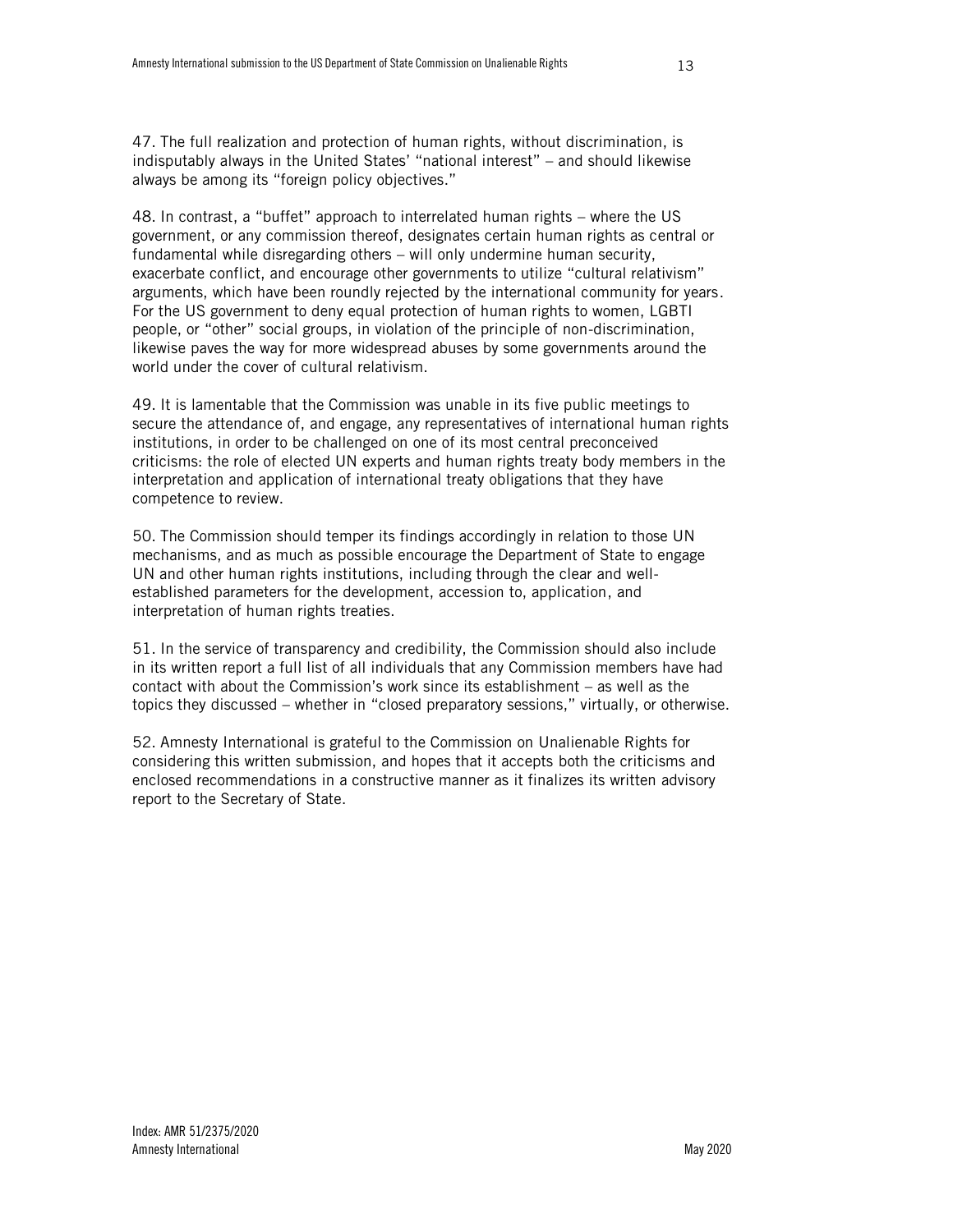48. In contrast, a "buffet" approach to interrelated human rights – where the US government, or any commission thereof, designates certain human rights as central or fundamental while disregarding others – will only undermine human security, exacerbate conflict, and encourage other governments to utilize "cultural relativism" arguments, which have been roundly rejected by the international community for years. For the US government to deny equal protection of human rights to women, LGBTI people, or "other" social groups, in violation of the principle of non-discrimination, likewise paves the way for more widespread abuses by some governments around the world under the cover of cultural relativism.

49. It is lamentable that the Commission was unable in its five public meetings to secure the attendance of, and engage, any representatives of international human rights institutions, in order to be challenged on one of its most central preconceived criticisms: the role of elected UN experts and human rights treaty body members in the interpretation and application of international treaty obligations that they have competence to review.

50. The Commission should temper its findings accordingly in relation to those UN mechanisms, and as much as possible encourage the Department of State to engage UN and other human rights institutions, including through the clear and wellestablished parameters for the development, accession to, application, and interpretation of human rights treaties.

51. In the service of transparency and credibility, the Commission should also include in its written report a full list of all individuals that any Commission members have had contact with about the Commission's work since its establishment – as well as the topics they discussed – whether in "closed preparatory sessions," virtually, or otherwise.

52. Amnesty International is grateful to the Commission on Unalienable Rights for considering this written submission, and hopes that it accepts both the criticisms and enclosed recommendations in a constructive manner as it finalizes its written advisory report to the Secretary of State.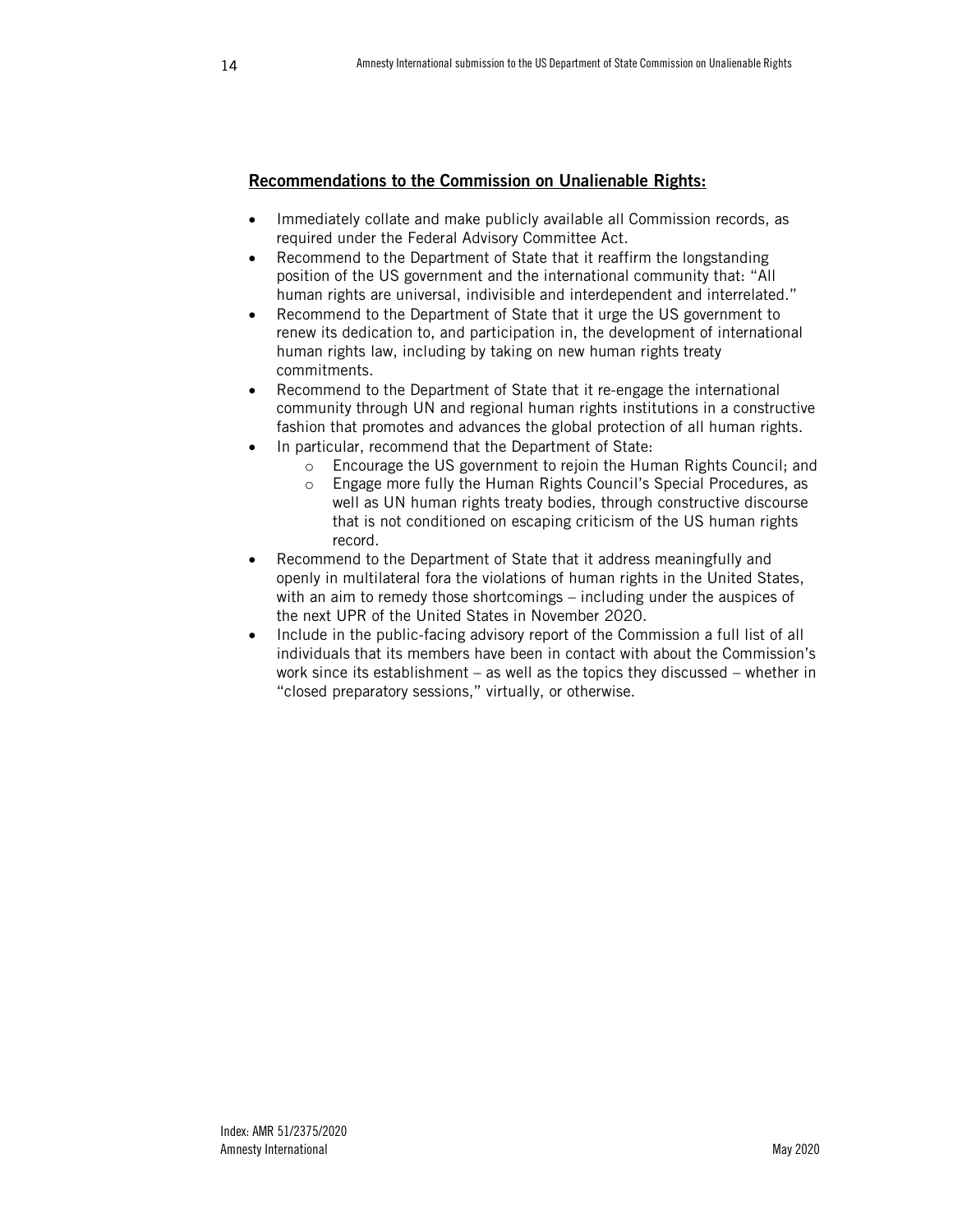### Recommendations to the Commission on Unalienable Rights:

- Immediately collate and make publicly available all Commission records, as required under the Federal Advisory Committee Act.
- Recommend to the Department of State that it reaffirm the longstanding position of the US government and the international community that: "All human rights are universal, indivisible and interdependent and interrelated."
- Recommend to the Department of State that it urge the US government to renew its dedication to, and participation in, the development of international human rights law, including by taking on new human rights treaty commitments.
- Recommend to the Department of State that it re-engage the international community through UN and regional human rights institutions in a constructive fashion that promotes and advances the global protection of all human rights.
- In particular, recommend that the Department of State:
	- o Encourage the US government to rejoin the Human Rights Council; and
	- o Engage more fully the Human Rights Council's Special Procedures, as well as UN human rights treaty bodies, through constructive discourse that is not conditioned on escaping criticism of the US human rights record.
- Recommend to the Department of State that it address meaningfully and openly in multilateral fora the violations of human rights in the United States, with an aim to remedy those shortcomings – including under the auspices of the next UPR of the United States in November 2020.
- Include in the public-facing advisory report of the Commission a full list of all individuals that its members have been in contact with about the Commission's work since its establishment – as well as the topics they discussed – whether in "closed preparatory sessions," virtually, or otherwise.